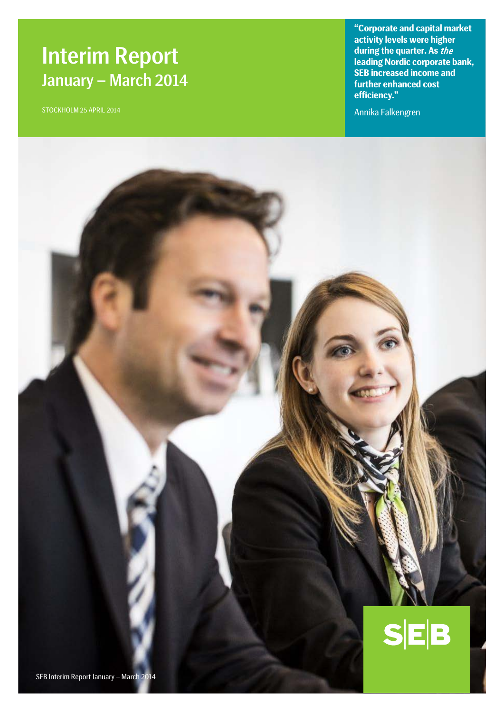# Interim Report January – March 2014

STOCKHOLM 25 APRIL 2014

**"Corporate and capital market activity levels were higher during the quarter. As** the **leading Nordic corporate bank, SEB increased income and further enhanced cost efficiency."**

Annika Falkengren

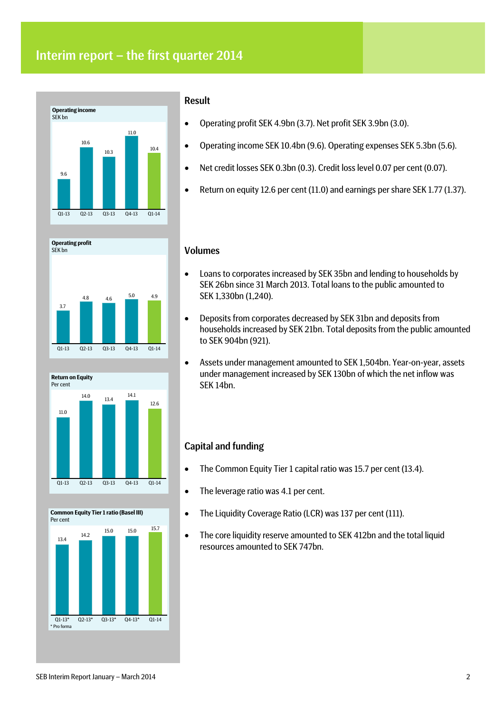## Interim report – the first quarter 2014









## Result

- Operating profit SEK 4.9bn (3.7). Net profit SEK 3.9bn (3.0).
- Operating income SEK 10.4bn (9.6). Operating expenses SEK 5.3bn (5.6).
- Net credit losses SEK 0.3bn (0.3). Credit loss level 0.07 per cent (0.07).
- Return on equity 12.6 per cent (11.0) and earnings per share SEK 1.77 (1.37).

### Volumes

- Loans to corporates increased by SEK 35bn and lending to households by SEK 26bn since 31 March 2013. Total loans to the public amounted to SEK 1,330bn (1,240).
- Deposits from corporates decreased by SEK 31bn and deposits from households increased by SEK 21bn. Total deposits from the public amounted to SEK 904bn (921).
- Assets under management amounted to SEK 1,504bn. Year-on-year, assets under management increased by SEK 130bn of which the net inflow was SEK 14bn.

## Capital and funding

- The Common Equity Tier 1 capital ratio was 15.7 per cent (13.4).
- The leverage ratio was 4.1 per cent.
- The Liquidity Coverage Ratio (LCR) was 137 per cent (111).
- The core liquidity reserve amounted to SEK 412bn and the total liquid resources amounted to SEK 747bn.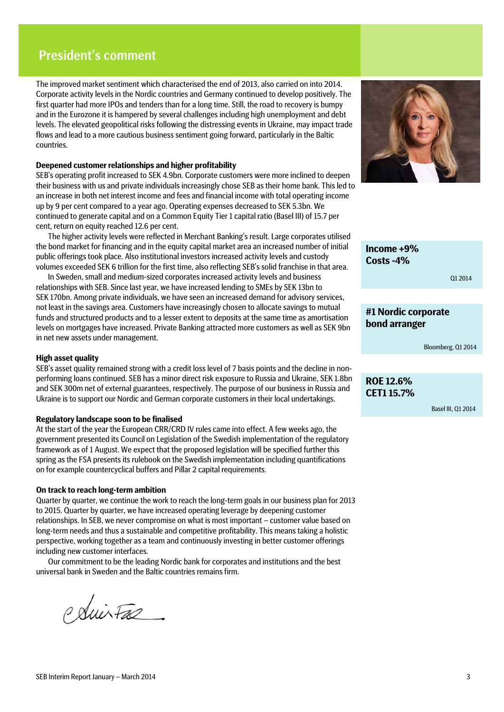## President's comment

The improved market sentiment which characterised the end of 2013, also carried on into 2014. Corporate activity levels in the Nordic countries and Germany continued to develop positively. The first quarter had more IPOs and tenders than for a long time. Still, the road to recovery is bumpy and in the Eurozone it is hampered by several challenges including high unemployment and debt levels. The elevated geopolitical risks following the distressing events in Ukraine, may impact trade flows and lead to a more cautious business sentiment going forward, particularly in the Baltic countries.

### **Deepened customer relationships and higher profitability**

SEB's operating profit increased to SEK 4.9bn. Corporate customers were more inclined to deepen their business with us and private individuals increasingly chose SEB as their home bank. This led to an increase in both net interest income and fees and financial income with total operating income up by 9 per cent compared to a year ago. Operating expenses decreased to SEK 5.3bn. We continued to generate capital and on a Common Equity Tier 1 capital ratio (Basel III) of 15.7 per cent, return on equity reached 12.6 per cent.

The higher activity levels were reflected in Merchant Banking's result. Large corporates utilised the bond market for financing and in the equity capital market area an increased number of initial public offerings took place. Also institutional investors increased activity levels and custody volumes exceeded SEK 6 trillion for the first time, also reflecting SEB's solid franchise in that area.

In Sweden, small and medium-sized corporates increased activity levels and business relationships with SEB. Since last year, we have increased lending to SMEs by SEK 13bn to SEK 170bn. Among private individuals, we have seen an increased demand for advisory services, not least in the savings area. Customers have increasingly chosen to allocate savings to mutual funds and structured products and to a lesser extent to deposits at the same time as amortisation levels on mortgages have increased. Private Banking attracted more customers as well as SEK 9bn in net new assets under management.

### **High asset quality**

SEB's asset quality remained strong with a credit loss level of 7 basis points and the decline in nonperforming loans continued. SEB has a minor direct risk exposure to Russia and Ukraine, SEK 1.8bn and SEK 300m net of external guarantees, respectively. The purpose of our business in Russia and Ukraine is to support our Nordic and German corporate customers in their local undertakings.

#### **Regulatory landscape soon to be finalised**

At the start of the year the European CRR/CRD IV rules came into effect. A few weeks ago, the government presented its Council on Legislation of the Swedish implementation of the regulatory framework as of 1 August. We expect that the proposed legislation will be specified further this spring as the FSA presents its rulebook on the Swedish implementation including quantifications on for example countercyclical buffers and Pillar 2 capital requirements.

#### **On track to reach long-term ambition**

Quarter by quarter, we continue the work to reach the long-term goals in our business plan for 2013 to 2015. Quarter by quarter, we have increased operating leverage by deepening customer relationships. In SEB, we never compromise on what is most important – customer value based on long-term needs and thus a sustainable and competitive profitability. This means taking a holistic perspective, working together as a team and continuously investing in better customer offerings including new customer interfaces.

Our commitment to be the leading Nordic bank for corporates and institutions and the best universal bank in Sweden and the Baltic countries remains firm.

Polivitas



**Income +9% Costs -4%**

Q1 2014

## **#1 Nordic corporate bond arranger**

Bloomberg, Q1 2014

### **ROE 12.6% CET1 15.7%**

Basel III, Q1 2014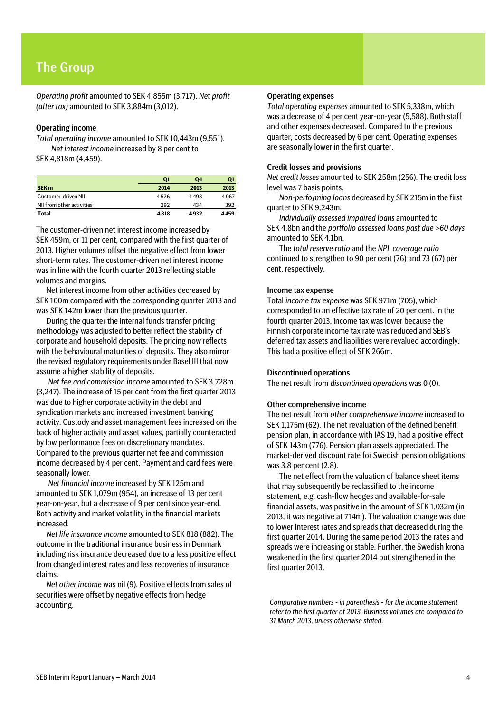## The Group

*Operating profit* amounted to SEK 4,855m (3,717). *Net profit (after tax)* amounted to SEK 3,884m (3,012).

### Operating income

*Total operating income* amounted to SEK 10,443m (9,551). *Net interest income* increased by 8 per cent to SEK 4,818m (4,459).

|                           | $\mathbf{Q}$ | Q4   | Q1   |
|---------------------------|--------------|------|------|
| SEK <sub>m</sub>          | 2014         | 2013 | 2013 |
| Customer-driven NII       | 4526         | 4498 | 4067 |
| NII from other activities | 292          | 434  | 392  |
| <b>Total</b>              | 4818         | 4932 | 4459 |

The customer-driven net interest income increased by SEK 459m, or 11 per cent, compared with the first quarter of 2013. Higher volumes offset the negative effect from lower short-term rates. The customer-driven net interest income was in line with the fourth quarter 2013 reflecting stable volumes and margins.

Net interest income from other activities decreased by SEK 100m compared with the corresponding quarter 2013 and was SEK 142m lower than the previous quarter.

During the quarter the internal funds transfer pricing methodology was adjusted to better reflect the stability of corporate and household deposits. The pricing now reflects with the behavioural maturities of deposits. They also mirror the revised regulatory requirements under Basel III that now assume a higher stability of deposits.

*Net fee and commission income* amounted to SEK 3,728m (3,247). The increase of 15 per cent from the first quarter 2013 was due to higher corporate activity in the debt and syndication markets and increased investment banking activity. Custody and asset management fees increased on the back of higher activity and asset values, partially counteracted by low performance fees on discretionary mandates. Compared to the previous quarter net fee and commission income decreased by 4 per cent. Payment and card fees were seasonally lower.

*Net financial income* increased by SEK 125m and amounted to SEK 1,079m (954), an increase of 13 per cent year-on-year, but a decrease of 9 per cent since year-end. Both activity and market volatility in the financial markets increased.

*Net life insurance income* amounted to SEK 818 (882). The outcome in the traditional insurance business in Denmark including risk insurance decreased due to a less positive effect from changed interest rates and less recoveries of insurance claims.

*Net other income* was nil (9). Positive effects from sales of securities were offset by negative effects from hedge accounting.

### Operating expenses

*Total operating expenses* amounted to SEK 5,338m, which was a decrease of 4 per cent year-on-year (5,588). Both staff and other expenses decreased. Compared to the previous quarter, costs decreased by 6 per cent. Operating expenses are seasonally lower in the first quarter.

### Credit losses and provisions

*Net credit losses* amounted to SEK 258m (256). The credit loss level was 7 basis points.

*Non-perfo*r*ming loans* decreased by SEK 215m in the first quarter to SEK 9,243m.

*Individually assessed impaired loans* amounted to SEK 4.8bn and the *portfolio assessed loans past due >60 days* amounted to SEK 4.1bn.

The *total reserve ratio* and the *NPL coverage ratio* continued to strengthen to 90 per cent (76) and 73 (67) per cent, respectively.

#### Income tax expense

Total *income tax expense* was SEK 971m (705), which corresponded to an effective tax rate of 20 per cent. In the fourth quarter 2013, income tax was lower because the Finnish corporate income tax rate was reduced and SEB's deferred tax assets and liabilities were revalued accordingly. This had a positive effect of SEK 266m.

#### Discontinued operations

The net result from *discontinued operations* was 0 (0).

### Other comprehensive income

The net result from *other comprehensive income* increased to SEK 1,175m (62). The net revaluation of the defined benefit pension plan, in accordance with IAS 19, had a positive effect of SEK 143m (776). Pension plan assets appreciated. The market-derived discount rate for Swedish pension obligations was 3.8 per cent (2.8).

The net effect from the valuation of balance sheet items that may subsequently be reclassified to the income statement, e.g. cash-flow hedges and available-for-sale financial assets, was positive in the amount of SEK 1,032m (in 2013, it was negative at 714m). The valuation change was due to lower interest rates and spreads that decreased during the first quarter 2014. During the same period 2013 the rates and spreads were increasing or stable. Further, the Swedish krona weakened in the first quarter 2014 but strengthened in the first quarter 2013.

*Comparative numbers - in parenthesis - for the income statement refer to the first quarter of 2013. Business volumes are compared to 31 March 2013, unless otherwise stated.*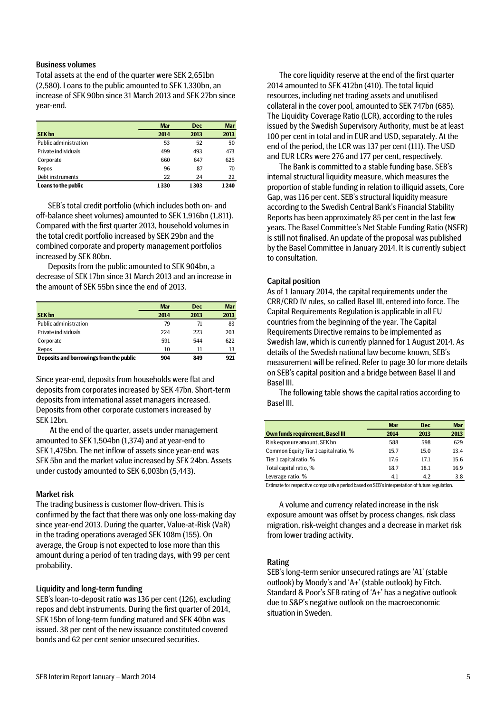### Business volumes

Total assets at the end of the quarter were SEK 2,651bn (2,580). Loans to the public amounted to SEK 1,330bn, an increase of SEK 90bn since 31 March 2013 and SEK 27bn since year-end.

|                       | <b>Mar</b> | <b>Dec</b> | <b>Mar</b> |
|-----------------------|------------|------------|------------|
| <b>SEK bn</b>         | 2014       | 2013       | 2013       |
| Public administration | 53         | 52         | 50         |
| Private individuals   | 499        | 493        | 473        |
| Corporate             | 660        | 647        | 625        |
| Repos                 | 96         | 87         | 70         |
| Debt instruments      | 22         | 24         | 22         |
| Loans to the public   | 1330       | 1303       | 1240       |

SEB's total credit portfolio (which includes both on- and off-balance sheet volumes) amounted to SEK 1,916bn (1,811). Compared with the first quarter 2013, household volumes in the total credit portfolio increased by SEK 29bn and the combined corporate and property management portfolios increased by SEK 80bn.

Deposits from the public amounted to SEK 904bn, a decrease of SEK 17bn since 31 March 2013 and an increase in the amount of SEK 55bn since the end of 2013.

|                                         | <b>Mar</b> | <b>Dec</b> | <b>Mar</b> |
|-----------------------------------------|------------|------------|------------|
| <b>SEK bn</b>                           | 2014       | 2013       | 2013       |
| Public administration                   | 79         | 71         | 83         |
| Private individuals                     | 224        | 223        | 203        |
| Corporate                               | 591        | 544        | 622        |
| Repos                                   | 10         | 11         | 13         |
| Deposits and borrowings from the public | 904        | 849        | 921        |

Since year-end, deposits from households were flat and deposits from corporates increased by SEK 47bn. Short-term deposits from international asset managers increased. Deposits from other corporate customers increased by SEK 12bn.

At the end of the quarter, assets under management amounted to SEK 1,504bn (1,374) and at year-end to SEK 1,475bn. The net inflow of assets since year-end was SEK 5bn and the market value increased by SEK 24bn. Assets under custody amounted to SEK 6,003bn (5,443).

### Market risk

The trading business is customer flow-driven. This is confirmed by the fact that there was only one loss-making day since year-end 2013. During the quarter, Value-at-Risk (VaR) in the trading operations averaged SEK 108m (155). On average, the Group is not expected to lose more than this amount during a period of ten trading days, with 99 per cent probability.

### Liquidity and long-term funding

SEB's loan-to-deposit ratio was 136 per cent (126), excluding repos and debt instruments. During the first quarter of 2014, SEK 15bn of long-term funding matured and SEK 40bn was issued. 38 per cent of the new issuance constituted covered bonds and 62 per cent senior unsecured securities.

The core liquidity reserve at the end of the first quarter 2014 amounted to SEK 412bn (410). The total liquid resources, including net trading assets and unutilised collateral in the cover pool, amounted to SEK 747bn (685). The Liquidity Coverage Ratio (LCR), according to the rules issued by the Swedish Supervisory Authority, must be at least 100 per cent in total and in EUR and USD, separately. At the end of the period, the LCR was 137 per cent (111). The USD and EUR LCRs were 276 and 177 per cent, respectively.

The Bank is committed to a stable funding base. SEB's internal structural liquidity measure, which measures the proportion of stable funding in relation to illiquid assets, Core Gap, was 116 per cent. SEB's structural liquidity measure according to the Swedish Central Bank's Financial Stability Reports has been approximately 85 per cent in the last few years. The Basel Committee's Net Stable Funding Ratio (NSFR) is still not finalised. An update of the proposal was published by the Basel Committee in January 2014. It is currently subject to consultation.

### Capital position

As of 1 January 2014, the capital requirements under the CRR/CRD IV rules, so called Basel III, entered into force. The Capital Requirements Regulation is applicable in all EU countries from the beginning of the year. The Capital Requirements Directive remains to be implemented as Swedish law, which is currently planned for 1 August 2014. As details of the Swedish national law become known, SEB's measurement will be refined. Refer to page 30 for more details on SEB's capital position and a bridge between Basel II and Basel III.

The following table shows the capital ratios according to Basel III.

|                                         | <b>Mar</b>                                                                                                                                                                                                                                                                         | <b>Dec</b> | <b>Mar</b> |
|-----------------------------------------|------------------------------------------------------------------------------------------------------------------------------------------------------------------------------------------------------------------------------------------------------------------------------------|------------|------------|
| <b>Own funds requirement, Basel III</b> | 2014                                                                                                                                                                                                                                                                               | 2013       | 2013       |
| Risk exposure amount, SEK bn            | 588                                                                                                                                                                                                                                                                                | 598        | 629        |
| Common Equity Tier 1 capital ratio, %   | 15.7                                                                                                                                                                                                                                                                               | 15.0       | 13.4       |
| Tier 1 capital ratio, %                 | 17.6                                                                                                                                                                                                                                                                               | 17.1       | 15.6       |
| Total capital ratio, %                  | 18.7                                                                                                                                                                                                                                                                               | 18.1       | 16.9       |
| Leverage ratio, %                       | 4.1                                                                                                                                                                                                                                                                                | 4.2        | 3.8        |
| . .<br>$\cdot$ .                        | $\alpha$ and $\alpha$ is the set of $\alpha$ is the set of $\alpha$ is the set of $\alpha$ is the set of $\alpha$ is the set of $\alpha$ is the set of $\alpha$ is the set of $\alpha$ is the set of $\alpha$ is the set of $\alpha$ is the set of $\alpha$ is the set of $\alpha$ |            | .          |

Estimate for respective comparative period based on SEB's interpretation of future regulation.

A volume and currency related increase in the risk exposure amount was offset by process changes, risk class migration, risk-weight changes and a decrease in market risk from lower trading activity.

#### Rating

SEB's long-term senior unsecured ratings are 'A1' (stable outlook) by Moody's and 'A+' (stable outlook) by Fitch. Standard & Poor's SEB rating of 'A+' has a negative outlook due to S&P's negative outlook on the macroeconomic situation in Sweden.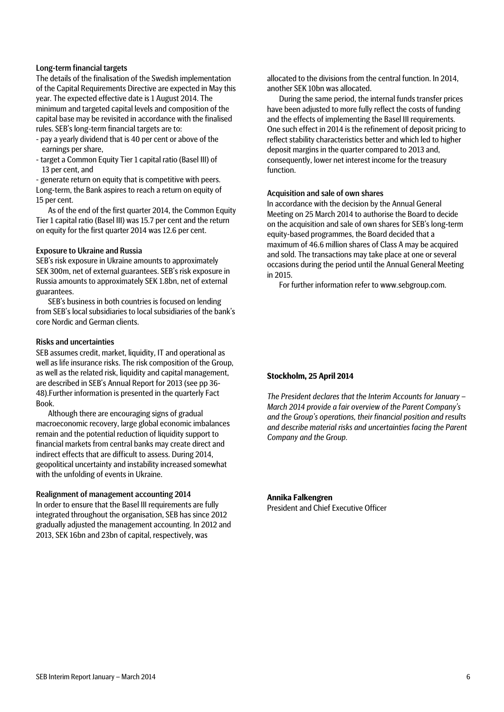### Long-term financial targets

The details of the finalisation of the Swedish implementation of the Capital Requirements Directive are expected in May this year. The expected effective date is 1 August 2014. The minimum and targeted capital levels and composition of the capital base may be revisited in accordance with the finalised rules. SEB's long-term financial targets are to:

- pay a yearly dividend that is 40 per cent or above of the earnings per share,
- target a Common Equity Tier 1 capital ratio (Basel III) of 13 per cent, and

- generate return on equity that is competitive with peers. Long-term, the Bank aspires to reach a return on equity of 15 per cent.

As of the end of the first quarter 2014, the Common Equity Tier 1 capital ratio (Basel III) was 15.7 per cent and the return on equity for the first quarter 2014 was 12.6 per cent.

### Exposure to Ukraine and Russia

SEB's risk exposure in Ukraine amounts to approximately SEK 300m, net of external guarantees. SEB's risk exposure in Russia amounts to approximately SEK 1.8bn, net of external guarantees.

SEB's business in both countries is focused on lending from SEB's local subsidiaries to local subsidiaries of the bank's core Nordic and German clients.

### Risks and uncertainties

SEB assumes credit, market, liquidity, IT and operational as well as life insurance risks. The risk composition of the Group, as well as the related risk, liquidity and capital management, are described in SEB's Annual Report for 2013 (see pp 36- 48).Further information is presented in the quarterly Fact Book.

Although there are encouraging signs of gradual macroeconomic recovery, large global economic imbalances remain and the potential reduction of liquidity support to financial markets from central banks may create direct and indirect effects that are difficult to assess. During 2014, geopolitical uncertainty and instability increased somewhat with the unfolding of events in Ukraine.

### Realignment of management accounting 2014

In order to ensure that the Basel III requirements are fully integrated throughout the organisation, SEB has since 2012 gradually adjusted the management accounting. In 2012 and 2013, SEK 16bn and 23bn of capital, respectively, was

allocated to the divisions from the central function. In 2014, another SEK 10bn was allocated.

During the same period, the internal funds transfer prices have been adjusted to more fully reflect the costs of funding and the effects of implementing the Basel III requirements. One such effect in 2014 is the refinement of deposit pricing to reflect stability characteristics better and which led to higher deposit margins in the quarter compared to 2013 and, consequently, lower net interest income for the treasury function.

### Acquisition and sale of own shares

In accordance with the decision by the Annual General Meeting on 25 March 2014 to authorise the Board to decide on the acquisition and sale of own shares for SEB's long-term equity-based programmes, the Board decided that a maximum of 46.6 million shares of Class A may be acquired and sold. The transactions may take place at one or several occasions during the period until the Annual General Meeting in 2015.

For further information refer to www.sebgroup.com.

### **Stockholm, 25 April 2014**

*The President declares that the Interim Accounts for January – March 2014 provide a fair overview of the Parent Company's and the Group's operations, their financial position and results and describe material risks and uncertainties facing the Parent Company and the Group.*

#### **Annika Falkengren**

President and Chief Executive Officer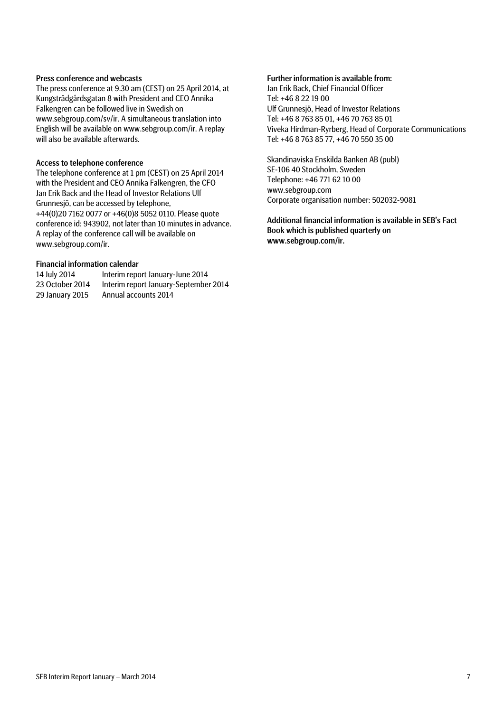### Press conference and webcasts

The press conference at 9.30 am (CEST) on 25 April 2014, at Kungsträdgårdsgatan 8 with President and CEO Annika Falkengren can be followed live in Swedish on www.sebgroup.com/sv/ir. A simultaneous translation into English will be available on www.sebgroup.com/ir. A replay will also be available afterwards.

### Access to telephone conference

The telephone conference at 1 pm (CEST) on 25 April 2014 with the President and CEO Annika Falkengren, the CFO Jan Erik Back and the Head of Investor Relations Ulf Grunnesjö, can be accessed by telephone, +44(0)20 7162 0077 or +46(0)8 5052 0110. Please quote conference id: 943902, not later than 10 minutes in advance. A replay of the conference call will be available on www.sebgroup.com/ir.

### Financial information calendar

| 14 July 2014    | Interim report January-June 2014      |
|-----------------|---------------------------------------|
| 23 October 2014 | Interim report January-September 2014 |
| 29 January 2015 | Annual accounts 2014                  |

#### Further information is available from:

Jan Erik Back, Chief Financial Officer Tel: +46 8 22 19 00 Ulf Grunnesjö, Head of Investor Relations Tel: +46 8 763 85 01, +46 70 763 85 01 Viveka Hirdman-Ryrberg, Head of Corporate Communications Tel: +46 8 763 85 77, +46 70 550 35 00

Skandinaviska Enskilda Banken AB (publ) SE-106 40 Stockholm, Sweden Telephone: +46 771 62 10 00 www.sebgroup.com Corporate organisation number: 502032-9081

Additional financial information is available in SEB's Fact Book which is published quarterly on www.sebgroup.com/ir.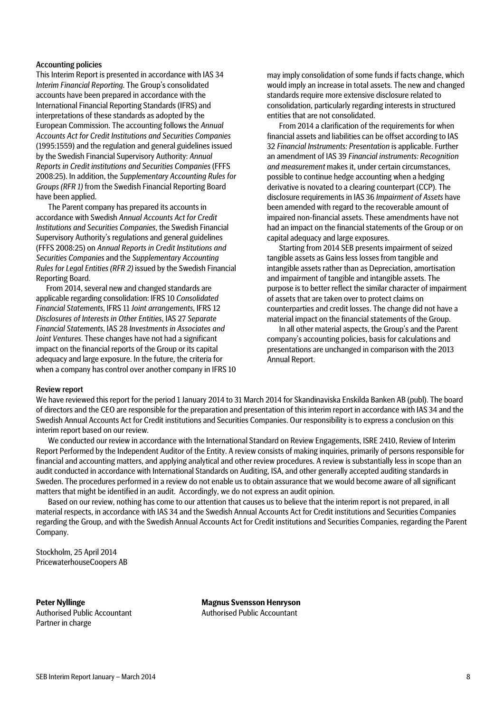### Accounting policies

This Interim Report is presented in accordance with IAS 34 *Interim Financial Reporting*. The Group's consolidated accounts have been prepared in accordance with the International Financial Reporting Standards (IFRS) and interpretations of these standards as adopted by the European Commission. The accounting follows the *Annual Accounts Act for Credit Institutions and Securities Companies* (1995:1559) and the regulation and general guidelines issued by the Swedish Financial Supervisory Authority: *Annual Reports in Credit institutions and Securities Companies* (FFFS 2008:25). In addition, the *Supplementary Accounting Rules for Groups (RFR 1)* from the Swedish Financial Reporting Board have been applied.

The Parent company has prepared its accounts in accordance with Swedish *Annual Accounts Act for Credit Institutions and Securities Companies*, the Swedish Financial Supervisory Authority's regulations and general guidelines (FFFS 2008:25) on *Annual Reports in Credit Institutions and Securities Companies* and the *Supplementary Accounting Rules for Legal Entities (RFR 2)* issued by the Swedish Financial Reporting Board.

From 2014, several new and changed standards are applicable regarding consolidation: IFRS 10 *Consolidated Financial Statements*, IFRS 11 *Joint arrangements*, IFRS 12 *Disclosures of Interests in Other Entities*, IAS 27 *Separate Financial Statements*, IAS 28 *Investments in Associates and Joint Ventures*. These changes have not had a significant impact on the financial reports of the Group or its capital adequacy and large exposure. In the future, the criteria for when a company has control over another company in IFRS 10 may imply consolidation of some funds if facts change, which would imply an increase in total assets. The new and changed standards require more extensive disclosure related to consolidation, particularly regarding interests in structured entities that are not consolidated.

From 2014 a clarification of the requirements for when financial assets and liabilities can be offset according to IAS 32 *Financial Instruments: Presentation* is applicable. Further an amendment of IAS 39 *Financial instruments: Recognition and measurement* makes it, under certain circumstances, possible to continue hedge accounting when a hedging derivative is novated to a clearing counterpart (CCP). The disclosure requirements in IAS 36 *Impairment of Assets* have been amended with regard to the recoverable amount of impaired non-financial assets. These amendments have not had an impact on the financial statements of the Group or on capital adequacy and large exposures.

Starting from 2014 SEB presents impairment of seized tangible assets as Gains less losses from tangible and intangible assets rather than as Depreciation, amortisation and impairment of tangible and intangible assets. The purpose is to better reflect the similar character of impairment of assets that are taken over to protect claims on counterparties and credit losses. The change did not have a material impact on the financial statements of the Group.

In all other material aspects, the Group's and the Parent company's accounting policies, basis for calculations and presentations are unchanged in comparison with the 2013 Annual Report.

#### Review report

We have reviewed this report for the period 1 January 2014 to 31 March 2014 for Skandinaviska Enskilda Banken AB (publ). The board of directors and the CEO are responsible for the preparation and presentation of this interim report in accordance with IAS 34 and the Swedish Annual Accounts Act for Credit institutions and Securities Companies. Our responsibility is to express a conclusion on this interim report based on our review.

We conducted our review in accordance with the International Standard on Review Engagements, ISRE 2410, Review of Interim Report Performed by the Independent Auditor of the Entity. A review consists of making inquiries, primarily of persons responsible for financial and accounting matters, and applying analytical and other review procedures. A review is substantially less in scope than an audit conducted in accordance with International Standards on Auditing, ISA, and other generally accepted auditing standards in Sweden. The procedures performed in a review do not enable us to obtain assurance that we would become aware of all significant matters that might be identified in an audit. Accordingly, we do not express an audit opinion.

Based on our review, nothing has come to our attention that causes us to believe that the interim report is not prepared, in all material respects, in accordance with IAS 34 and the Swedish Annual Accounts Act for Credit institutions and Securities Companies regarding the Group, and with the Swedish Annual Accounts Act for Credit institutions and Securities Companies, regarding the Parent Company.

Stockholm, 25 April 2014 PricewaterhouseCoopers AB

Partner in charge

**Peter Nyllinge Magnus Svensson Henryson** Authorised Public Accountant Authorised Public Accountant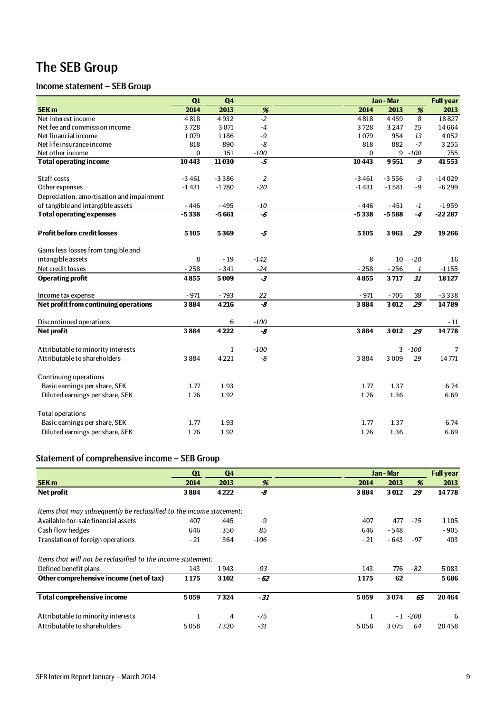## The SEB Group

## Income statement – SEB Group

|                                           | Q1           | Q <sub>4</sub> |                | Jan - Mar |         |                  | <b>Full year</b> |
|-------------------------------------------|--------------|----------------|----------------|-----------|---------|------------------|------------------|
| <b>SEK m</b>                              | 2014         | 2013           | $\%$           | 2014      | 2013    | %                | 2013             |
| Net interest income                       | 4818         | 4932           | $-2$           | 4818      | 4459    | $\boldsymbol{8}$ | 18827            |
| Net fee and commission income             | 3728         | 3871           | $-4$           | 3728      | 3 2 4 7 | 15               | 14664            |
| Net financial income                      | 1079         | 1186           | $-9$           | 1079      | 954     | 13               | 4052             |
| Net life insurance income                 | 818          | 890            | $-8$           | 818       | 882     | $-7$             | 3 2 5 5          |
| Net other income                          | $\mathbf{0}$ | 151            | $-100$         | $\bf{0}$  | 9       | $-100$           | 755              |
| <b>Total operating income</b>             | 10443        | 11030          | $-5$           | 10443     | 9551    | $\boldsymbol{g}$ | 41553            |
|                                           |              |                |                |           |         |                  |                  |
| Staff costs                               | $-3461$      | $-3386$        | $\overline{2}$ | $-3461$   | $-3556$ | $-3$             | $-14029$         |
| Other expenses                            | $-1431$      | $-1780$        | $-20$          | $-1431$   | $-1581$ | $-9$             | $-6299$          |
| Depreciation, amortisation and impairment |              |                |                |           |         |                  |                  |
| of tangible and intangible assets         | $-446$       | $-495$         | $-10$          | $-446$    | $-451$  | $-1$             | $-1959$          |
| <b>Total operating expenses</b>           | $-5338$      | $-5661$        | -6             | $-5338$   | $-5588$ | $-4$             | $-22287$         |
| <b>Profit before credit losses</b>        | 5105         | 5369           | -5             | 5105      | 3963    | 29               | 19266            |
| Gains less losses from tangible and       |              |                |                |           |         |                  |                  |
| intangible assets                         | 8            | $-19$          | $-142$         | 8         | 10      | $-20$            | 16               |
| Net credit losses                         | $-258$       | $-341$         | $-24$          | $-258$    | $-256$  | $\mathbf{1}$     | $-1155$          |
| <b>Operating profit</b>                   | 4855         | 5009           | $-3$           | 4855      | 3717    | 31               | 18127            |
| Income tax expense                        | $-971$       | $-793$         | 22             | $-971$    | $-705$  | 38               | $-3338$          |
| Net profit from continuing operations     | 3884         | 4216           | -8             | 3884      | 3012    | $\overline{29}$  | 14789            |
| Discontinued operations                   |              | 6              | $-100$         |           |         |                  | - 11             |
| Net profit                                | 3884         | 4222           | -8             | 3884      | 3012    | 29               | 14778            |
| Attributable to minority interests        |              | $\mathbf{1}$   | $-100$         |           |         | $3 - 100$        | 7                |
| Attributable to shareholders              | 3884         | 4221           | -8             | 3884      | 3 0 0 9 | 29               | 14771            |
|                                           |              |                |                |           |         |                  |                  |
| Continuing operations                     |              |                |                |           |         |                  |                  |
| Basic earnings per share, SEK             | 1.77         | 1.93           |                | 1.77      | 1.37    |                  | 6.74             |
| Diluted earnings per share, SEK           | 1.76         | 1.92           |                | 1.76      | 1.36    |                  | 6.69             |
| <b>Total operations</b>                   |              |                |                |           |         |                  |                  |
| Basic earnings per share, SEK             | 1.77         | 1.93           |                | 1.77      | 1.37    |                  | 6.74             |
| Diluted earnings per share, SEK           | 1.76         | 1.92           |                | 1.76      | 1.36    |                  | 6.69             |
|                                           |              |                |                |           |         |                  |                  |

## Statement of comprehensive income – SEB Group

|                                                                      | Q1    | Q <sub>4</sub> |        |       | Jan - Mar |        | <b>Full year</b> |
|----------------------------------------------------------------------|-------|----------------|--------|-------|-----------|--------|------------------|
| <b>SEK m</b>                                                         | 2014  | 2013           | %      | 2014  | 2013      | %      | 2013             |
| Net profit                                                           | 3884  | 4 2 2 2        | -8     | 3884  | 3012      | 29     | 14778            |
| Items that may subsequently be reclassified to the income statement: |       |                |        |       |           |        |                  |
| Available-for-sale financial assets                                  | 407   | 445            | -9     | 407   | 477       | $-15$  | 1105             |
| Cash flow hedges                                                     | 646   | 350            | 85     | 646   | $-548$    |        | $-905$           |
| Translation of foreign operations                                    | $-21$ | 364            | $-106$ | $-21$ | - 643     | $-97$  | 403              |
| Items that will not be reclassified to the income statement:         |       |                |        |       |           |        |                  |
| Defined benefit plans                                                | 143   | 1943           | -93    | 143   | 776       | -82    | 5083             |
| Other comprehensive income (net of tax)                              | 1175  | 3 1 0 2        | - 62   | 1175  | 62        |        | 5686             |
| <b>Total comprehensive income</b>                                    | 5059  | 7324           | $-31$  | 5059  | 3074      | 65     | 20464            |
| Attributable to minority interests                                   | 1     | 4              | $-75$  |       | $-1$      | $-200$ | 6                |
| Attributable to shareholders                                         | 5058  | 7320           | -31    | 5058  | 3075      | 64     | 20458            |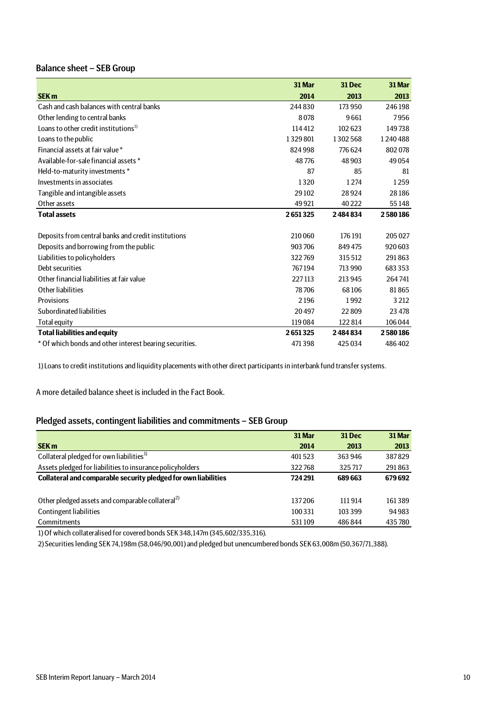## Balance sheet – SEB Group

|                                                         | 31 Mar  | 31 Dec  | 31 Mar  |
|---------------------------------------------------------|---------|---------|---------|
| <b>SEK m</b>                                            | 2014    | 2013    | 2013    |
| Cash and cash balances with central banks               | 244830  | 173 950 | 246198  |
| Other lending to central banks                          | 8078    | 9661    | 7956    |
| Loans to other credit institutions <sup>1)</sup>        | 114412  | 102623  | 149738  |
| Loans to the public                                     | 1329801 | 1302568 | 1240488 |
| Financial assets at fair value*                         | 824998  | 776624  | 802078  |
| Available-for-sale financial assets *                   | 48776   | 48 903  | 49054   |
| Held-to-maturity investments *                          | 87      | 85      | 81      |
| Investments in associates                               | 1320    | 1274    | 1259    |
| Tangible and intangible assets                          | 29 10 2 | 28924   | 28186   |
| Other assets                                            | 49 9 21 | 40 2 22 | 55148   |
| <b>Total assets</b>                                     | 2651325 | 2484834 | 2580186 |
|                                                         |         |         |         |
| Deposits from central banks and credit institutions     | 210 060 | 176 191 | 205 027 |
| Deposits and borrowing from the public                  | 903 706 | 849 475 | 920 603 |
| Liabilities to policyholders                            | 322769  | 315 512 | 291863  |
| Debt securities                                         | 767194  | 713 990 | 683 353 |
| Other financial liabilities at fair value               | 227113  | 213 945 | 264741  |
| Other liabilities                                       | 78706   | 68106   | 81865   |
| Provisions                                              | 2196    | 1992    | 3 2 1 2 |
| Subordinated liabilities                                | 20497   | 22809   | 23 4 78 |
| Total equity                                            | 119084  | 122814  | 106 044 |
| <b>Total liabilities and equity</b>                     | 2651325 | 2484834 | 2580186 |
| * Of which bonds and other interest bearing securities. | 471398  | 425034  | 486402  |

1) Loans to credit institutions and liquidity placements with other direct participants in interbank fund transfer systems.

A more detailed balance sheet is included in the Fact Book.

### Pledged assets, contingent liabilities and commitments – SEB Group

|                                                                | 31 Mar  | <b>31 Dec</b> | 31 Mar |
|----------------------------------------------------------------|---------|---------------|--------|
| <b>SEK m</b>                                                   | 2014    | 2013          | 2013   |
| Collateral pledged for own liabilities <sup>1)</sup>           | 401523  | 363 946       | 387829 |
| Assets pledged for liabilities to insurance policyholders      | 322768  | 325717        | 291863 |
| Collateral and comparable security pledged for own liabilities | 724 291 | 689 663       | 679692 |
|                                                                |         |               |        |
| Other pledged assets and comparable collateral <sup>2)</sup>   | 137206  | 111914        | 161389 |
| <b>Contingent liabilities</b>                                  | 100 331 | 103 399       | 94983  |
| Commitments                                                    | 531109  | 486844        | 435780 |

1) Of which collateralised for covered bonds SEK 348,147m (345,602/335,316).

2) Securities lending SEK 74,198m (58,046/90,001) and pledged but unencumbered bonds SEK 63,008m (50,367/71,388).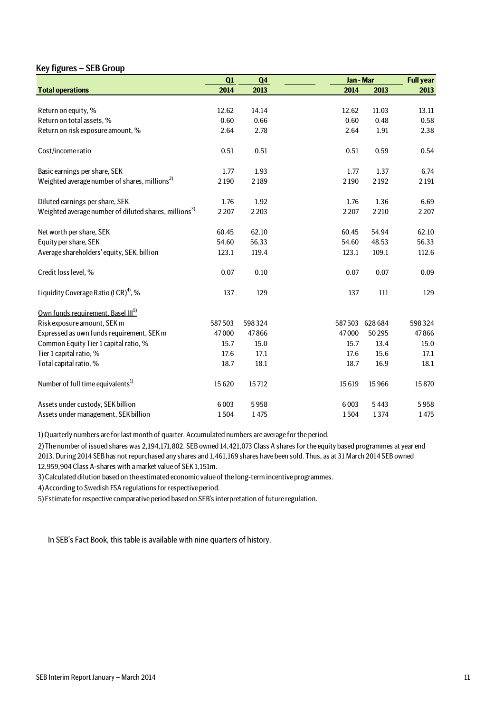## Key figures – SEB Group

|                                                                   | Q1      | Q <sub>4</sub> |         | Jan - Mar     |         |
|-------------------------------------------------------------------|---------|----------------|---------|---------------|---------|
| <b>Total operations</b>                                           | 2014    | 2013           | 2014    | 2013          | 2013    |
|                                                                   |         |                |         |               |         |
| Return on equity, %                                               | 12.62   | 14.14          | 12.62   | 11.03         | 13.11   |
| Return on total assets, %                                         | 0.60    | 0.66           | 0.60    | 0.48          | 0.58    |
| Return on risk exposure amount, %                                 | 2.64    | 2.78           | 2.64    | 1.91          | 2.38    |
| Cost/income ratio                                                 | 0.51    | 0.51           | 0.51    | 0.59          | 0.54    |
| Basic earnings per share, SEK                                     | 1.77    | 1.93           | 1.77    | 1.37          | 6.74    |
| Weighted average number of shares, millions <sup>2)</sup>         | 2190    | 2189           | 2190    | 2192          | 2 1 9 1 |
| Diluted earnings per share, SEK                                   | 1.76    | 1.92           | 1.76    | 1.36          | 6.69    |
| Weighted average number of diluted shares, millions <sup>3)</sup> | 2 2 0 7 | 2 2 0 3        | 2 2 0 7 | 2 2 1 0       | 2 2 0 7 |
| Net worth per share, SEK                                          | 60.45   | 62.10          | 60.45   | 54.94         | 62.10   |
| Equity per share, SEK                                             | 54.60   | 56.33          | 54.60   | 48.53         | 56.33   |
| Average shareholders' equity, SEK, billion                        | 123.1   | 119.4          | 123.1   | 109.1         | 112.6   |
| Credit loss level, %                                              | 0.07    | 0.10           | 0.07    | 0.07          | 0.09    |
| Liquidity Coverage Ratio (LCR) <sup>4)</sup> , %                  | 137     | 129            | 137     | 111           | 129     |
| Own funds requirement, Basel III <sup>5)</sup>                    |         |                |         |               |         |
| Risk exposure amount, SEK m                                       | 587503  | 598324         |         | 587503 628684 | 598324  |
| Expressed as own funds requirement, SEK m                         | 47000   | 47866          | 47000   | 50295         | 47866   |
| Common Equity Tier 1 capital ratio, %                             | 15.7    | 15.0           | 15.7    | 13.4          | 15.0    |
| Tier 1 capital ratio, %                                           | 17.6    | 17.1           | 17.6    | 15.6          | 17.1    |
| Total capital ratio, %                                            | 18.7    | 18.1           | 18.7    | 16.9          | 18.1    |
| Number of full time equivalents <sup>1)</sup>                     | 15620   | 15712          | 15619   | 15966         | 15870   |
| Assets under custody, SEK billion                                 | 6003    | 5958           | 6003    | 5443          | 5958    |
| Assets under management, SEK billion                              | 1504    | 1475           | 1504    | 1374          | 1475    |

1) Quarterly numbers are for last month of quarter. Accumulated numbers are average for the period.

2) The number of issued shares was 2,194,171,802. SEB owned 14,421,073 Class A shares for the equity based programmes at year end 2013. During 2014 SEB has not repurchased any shares and 1,461,169 shares have been sold. Thus, as at 31 March 2014 SEB owned 12,959,904 Class A-shares with a market value of SEK 1,151m.

3) Calculated dilution based on the estimated economic value of the long-term incentive programmes.

4) According to Swedish FSA regulations for respective period.

5) Estimate for respective comparative period based on SEB's interpretation of future regulation.

In SEB's Fact Book, this table is available with nine quarters of history.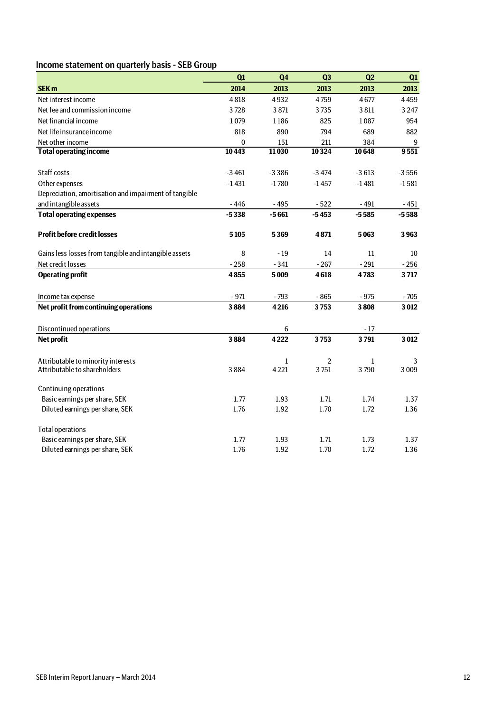## Income statement on quarterly basis - SEB Group

|                                                       | Q1       | Q <sub>4</sub> | Q <sub>3</sub> | Q <sub>2</sub> | Q1      |
|-------------------------------------------------------|----------|----------------|----------------|----------------|---------|
| <b>SEK m</b>                                          | 2014     | 2013           | 2013           | 2013           | 2013    |
| Net interest income                                   | 4818     | 4932           | 4759           | 4677           | 4459    |
| Net fee and commission income                         | 3728     | 3871           | 3735           | 3811           | 3 2 4 7 |
| Net financial income                                  | 1079     | 1186           | 825            | 1087           | 954     |
| Net life insurance income                             | 818      | 890            | 794            | 689            | 882     |
| Net other income                                      | $\bf{0}$ | 151            | 211            | 384            | 9       |
| <b>Total operating income</b>                         | 10443    | 11030          | 10324          | 10648          | 9551    |
|                                                       |          |                |                |                |         |
| Staff costs                                           | $-3461$  | $-3386$        | $-3474$        | $-3613$        | $-3556$ |
| Other expenses                                        | $-1431$  | $-1780$        | $-1457$        | $-1481$        | $-1581$ |
| Depreciation, amortisation and impairment of tangible |          |                |                |                |         |
| and intangible assets                                 | $-446$   | $-495$         | $-522$         | $-491$         | $-451$  |
| <b>Total operating expenses</b>                       | $-5338$  | $-5661$        | $-5453$        | $-5585$        | $-5588$ |
| <b>Profit before credit losses</b>                    | 5105     |                | 4871           | 5063           | 3963    |
|                                                       |          | 5369           |                |                |         |
| Gains less losses from tangible and intangible assets | 8        | $-19$          | 14             | 11             | 10      |
| Net credit losses                                     | $-258$   | $-341$         | $-267$         | $-291$         | $-256$  |
| <b>Operating profit</b>                               | 4855     | 5009           | 4618           | 4783           | 3717    |
| Income tax expense                                    | $-971$   | $-793$         | $-865$         | $-975$         | $-705$  |
| Net profit from continuing operations                 | 3884     | 4216           | 3753           | 3808           | 3012    |
| Discontinued operations                               |          | 6              |                | $-17$          |         |
| Net profit                                            | 3884     | 4222           | 3753           | 3791           | 3012    |
|                                                       |          |                |                |                |         |
| Attributable to minority interests                    |          | 1              | 2              | 1              | 3       |
| Attributable to shareholders                          | 3884     | 4221           | 3751           | 3790           | 3 0 0 9 |
| <b>Continuing operations</b>                          |          |                |                |                |         |
| Basic earnings per share, SEK                         | 1.77     | 1.93           | 1.71           | 1.74           | 1.37    |
| Diluted earnings per share, SEK                       | 1.76     | 1.92           | 1.70           | 1.72           | 1.36    |
| <b>Total operations</b>                               |          |                |                |                |         |
| Basic earnings per share, SEK                         | 1.77     | 1.93           | 1.71           | 1.73           | 1.37    |
| Diluted earnings per share, SEK                       | 1.76     | 1.92           | 1.70           | 1.72           | 1.36    |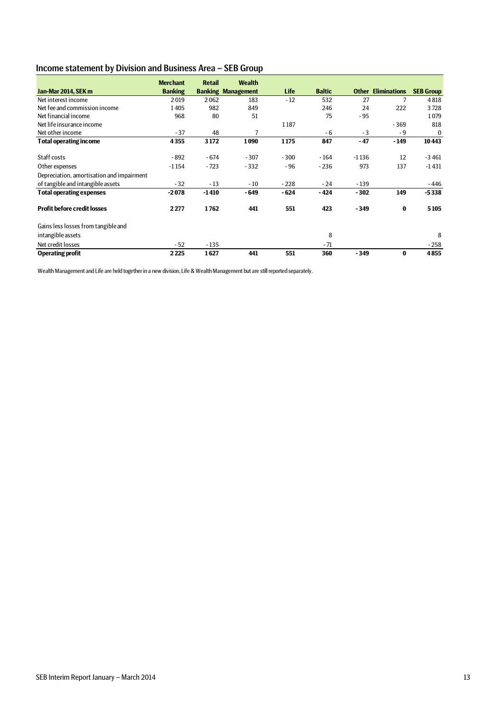## Income statement by Division and Business Area – SEB Group

|                                           | <b>Merchant</b> | <b>Retail</b> | <b>Wealth</b>             |             |               |         |                           |                  |
|-------------------------------------------|-----------------|---------------|---------------------------|-------------|---------------|---------|---------------------------|------------------|
| Jan-Mar 2014, SEK m                       | <b>Banking</b>  |               | <b>Banking Management</b> | <b>Life</b> | <b>Baltic</b> |         | <b>Other Eliminations</b> | <b>SEB Group</b> |
| Net interest income                       | 2019            | 2062          | 183                       | $-12$       | 532           | 27      |                           | 4818             |
| Net fee and commission income             | 1405            | 982           | 849                       |             | 246           | 24      | 222                       | 3728             |
| Net financial income                      | 968             | 80            | 51                        |             | 75            | $-95$   |                           | 1079             |
| Net life insurance income                 |                 |               |                           | 1187        |               |         | $-369$                    | 818              |
| Net other income                          | $-37$           | 48            | 7                         |             | - 6           | $-3$    | - 9                       | $\bf{0}$         |
| <b>Total operating income</b>             | 4355            | 3172          | 1090                      | 1175        | 847           | - 47    | $-149$                    | 10443            |
| Staff costs                               | - 892           | - 674         | $-307$                    | $-300$      | $-164$        | $-1136$ | 12                        | $-3461$          |
| Other expenses                            | $-1154$         | $-723$        | $-332$                    | $-96$       | $-236$        | 973     | 137                       | $-1431$          |
| Depreciation, amortisation and impairment |                 |               |                           |             |               |         |                           |                  |
| of tangible and intangible assets         | $-32$           | $-13$         | $-10$                     | $-228$      | $-24$         | $-139$  |                           | - 446            |
| <b>Total operating expenses</b>           | $-2078$         | $-1410$       | - 649                     | $-624$      | - 424         | $-302$  | 149                       | $-5338$          |
| <b>Profit before credit losses</b>        | 2277            | 1762          | 441                       | 551         | 423           | $-349$  | $\bf{0}$                  | 5105             |
| Gains less losses from tangible and       |                 |               |                           |             |               |         |                           |                  |
| intangible assets                         |                 |               |                           |             | 8             |         |                           | 8                |
| Net credit losses                         | $-52$           | $-135$        |                           |             | $-71$         |         |                           | $-258$           |
| <b>Operating profit</b>                   | 2225            | 1627          | 441                       | 551         | 360           | $-349$  | $\bf{0}$                  | 4855             |

Wealth Management and Life are held together in a new division, Life & Wealth Management but are still reported separately.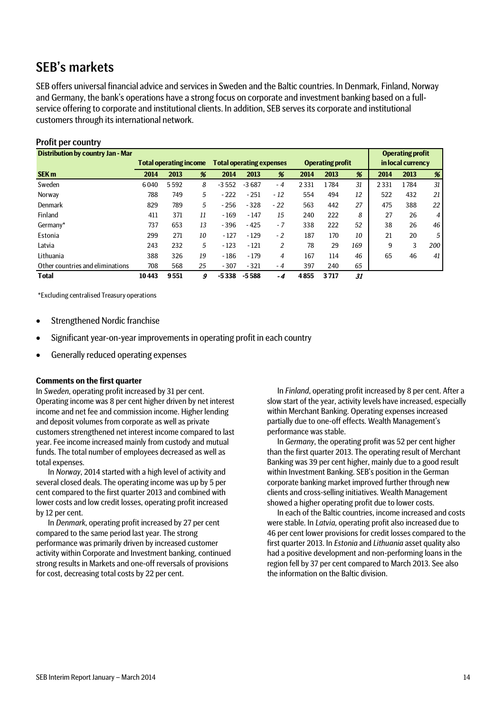## SEB's markets

SEB offers universal financial advice and services in Sweden and the Baltic countries. In Denmark, Finland, Norway and Germany, the bank's operations have a strong focus on corporate and investment banking based on a fullservice offering to corporate and institutional clients. In addition, SEB serves its corporate and institutional customers through its international network.

| <b>Profit per country</b>                |       |                               |    |                                 |         |       |      |                         |     |      |                         |     |
|------------------------------------------|-------|-------------------------------|----|---------------------------------|---------|-------|------|-------------------------|-----|------|-------------------------|-----|
| <b>Distribution by country Jan - Mar</b> |       |                               |    |                                 |         |       |      |                         |     |      | <b>Operating profit</b> |     |
|                                          |       | <b>Total operating income</b> |    | <b>Total operating expenses</b> |         |       |      | <b>Operating profit</b> |     |      | in local currency       |     |
| <b>SEK m</b>                             | 2014  | 2013                          | %  | 2014                            | 2013    | %     | 2014 | 2013                    | %   | 2014 | 2013                    | %   |
| Sweden                                   | 6040  | 5592                          | 8  | $-3552$                         | $-3687$ | $-4$  | 2331 | 1784                    | 31  | 2331 | 1784                    | 31  |
| Norway                                   | 788   | 749                           | 5  | $-222$                          | $-251$  | $-12$ | 554  | 494                     | 12  | 522  | 432                     | 21  |
| Denmark                                  | 829   | 789                           | 5  | $-256$                          | $-328$  | $-22$ | 563  | 442                     | 27  | 475  | 388                     | 22  |
| Finland                                  | 411   | 371                           | 11 | $-169$                          | $-147$  | 15    | 240  | 222                     | 8   | 27   | 26                      | 4   |
| Germany*                                 | 737   | 653                           | 13 | $-396$                          | $-425$  | $-7$  | 338  | 222                     | 52  | 38   | 26                      | 46  |
| Estonia                                  | 299   | 271                           | 10 | $-127$                          | $-129$  | $-2$  | 187  | 170                     | 10  | 21   | 20                      | 5   |
| Latvia                                   | 243   | 232                           | 5  | $-123$                          | $-121$  | 2     | 78   | 29                      | 169 | 9    | 3                       | 200 |
| Lithuania                                | 388   | 326                           | 19 | $-186$                          | $-179$  | 4     | 167  | 114                     | 46  | 65   | 46                      | 41  |
| Other countries and eliminations         | 708   | 568                           | 25 | $-307$                          | $-321$  | $-4$  | 397  | 240                     | 65  |      |                         |     |
| <b>Total</b>                             | 10443 | 9551                          | 9  | $-5338$                         | $-5588$ | -4    | 4855 | 3717                    | 31  |      |                         |     |

\*Excluding centralised Treasury operations

- Strengthened Nordic franchise
- Significant year-on-year improvements in operating profit in each country
- Generally reduced operating expenses

### **Comments on the first quarter**

In *Sweden*, operating profit increased by 31 per cent. Operating income was 8 per cent higher driven by net interest income and net fee and commission income. Higher lending and deposit volumes from corporate as well as private customers strengthened net interest income compared to last year. Fee income increased mainly from custody and mutual funds. The total number of employees decreased as well as total expenses.

In *Norway*, 2014 started with a high level of activity and several closed deals. The operating income was up by 5 per cent compared to the first quarter 2013 and combined with lower costs and low credit losses, operating profit increased by 12 per cent.

In *Denmark*, operating profit increased by 27 per cent compared to the same period last year. The strong performance was primarily driven by increased customer activity within Corporate and Investment banking, continued strong results in Markets and one-off reversals of provisions for cost, decreasing total costs by 22 per cent.

In *Finland*, operating profit increased by 8 per cent. After a slow start of the year, activity levels have increased, especially within Merchant Banking. Operating expenses increased partially due to one-off effects. Wealth Management's performance was stable.

In *Germany*, the operating profit was 52 per cent higher than the first quarter 2013. The operating result of Merchant Banking was 39 per cent higher, mainly due to a good result within Investment Banking. SEB's position in the German corporate banking market improved further through new clients and cross-selling initiatives. Wealth Management showed a higher operating profit due to lower costs.

In each of the Baltic countries, income increased and costs were stable. In *Latvia,* operating profit also increased due to 46 per cent lower provisions for credit losses compared to the first quarter 2013. In *Estonia* and *Lithuania* asset quality also had a positive development and non-performing loans in the region fell by 37 per cent compared to March 2013. See also the information on the Baltic division.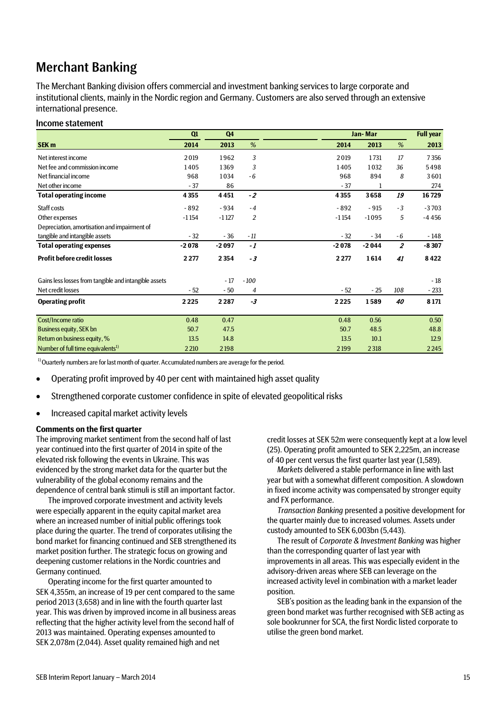## Merchant Banking

The Merchant Banking division offers commercial and investment banking services to large corporate and institutional clients, mainly in the Nordic region and Germany. Customers are also served through an extensive international presence.

### Income statement

|                                                       | Q1      | Q <sub>4</sub> |                |         | Jan-Mar |                |              |
|-------------------------------------------------------|---------|----------------|----------------|---------|---------|----------------|--------------|
| SEK <sub>m</sub>                                      | 2014    | 2013           | %              | 2014    | 2013    | %              | 2013         |
| Net interest income                                   | 2019    | 1962           | 3              | 2019    | 1731    | 17             | 7356         |
| Net fee and commission income                         | 1405    | 1369           | 3              | 1405    | 1032    | 36             | 5498         |
| Net financial income                                  | 968     | 1034           | $-6$           | 968     | 894     | 8              | 3601         |
| Net other income                                      | $-37$   | 86             |                | $-37$   |         |                | 274          |
| <b>Total operating income</b>                         | 4355    | 4451           | $-2$           | 4355    | 3658    | 19             | 16729        |
| Staff costs                                           | $-892$  | $-934$         | $-4$           | $-892$  | $-915$  | $-3$           | $-3703$      |
| Other expenses                                        | $-1154$ | $-1127$        | $\overline{c}$ | $-1154$ | $-1095$ | 5              | $-4456$      |
| Depreciation, amortisation and impairment of          |         |                |                |         |         |                |              |
| tangible and intangible assets                        | $-32$   | $-36$          | $-11$          | $-32$   | $-34$   | - 6            | - 148        |
| <b>Total operating expenses</b>                       | $-2078$ | $-2097$        | $-1$           | $-2078$ | $-2044$ | $\overline{z}$ | $-8307$      |
| <b>Profit before credit losses</b>                    | 2 2 7 7 | 2 3 5 4        | $-3$           | 2 2 7 7 | 1614    | 41             | 8422         |
| Gains less losses from tangible and intangible assets |         | $-17$          | $-100$         |         |         |                | $-18$        |
| Net credit losses                                     | $-52$   | $-50$          | 4              | $-52$   | $-25$   | 108            | $-233$       |
| <b>Operating profit</b>                               | 2225    | 2287           | $-3$           | 2225    | 1589    | 40             | 8 1 7 1      |
| Cost/Income ratio                                     | 0.48    | 0.47           |                | 0.48    | 0.56    |                | 0.50         |
|                                                       |         |                |                |         |         |                |              |
| Business equity, SEK bn                               | 50.7    | 47.5           |                | 50.7    | 48.5    |                | 48.8<br>12.9 |
| Return on business equity, %                          | 13.5    | 14.8           |                | 13.5    | 10.1    |                |              |
| Number of full time equivalents <sup>1)</sup>         | 2 2 10  | 2198           |                | 2 1 9 9 | 2318    |                | 2245         |

<sup>1)</sup> Ouarterly numbers are for last month of quarter. Accumulated numbers are average for the period.

- Operating profit improved by 40 per cent with maintained high asset quality
- Strengthened corporate customer confidence in spite of elevated geopolitical risks
- Increased capital market activity levels

### **Comments on the first quarter**

The improving market sentiment from the second half of last year continued into the first quarter of 2014 in spite of the elevated risk following the events in Ukraine. This was evidenced by the strong market data for the quarter but the vulnerability of the global economy remains and the dependence of central bank stimuli is still an important factor.

The improved corporate investment and activity levels were especially apparent in the equity capital market area where an increased number of initial public offerings took place during the quarter. The trend of corporates utilising the bond market for financing continued and SEB strengthened its market position further. The strategic focus on growing and deepening customer relations in the Nordic countries and Germany continued.

Operating income for the first quarter amounted to SEK 4,355m, an increase of 19 per cent compared to the same period 2013 (3,658) and in line with the fourth quarter last year. This was driven by improved income in all business areas reflecting that the higher activity level from the second half of 2013 was maintained. Operating expenses amounted to SEK 2,078m (2,044). Asset quality remained high and net

credit losses at SEK 52m were consequently kept at a low level (25). Operating profit amounted to SEK 2,225m, an increase of 40 per cent versus the first quarter last year (1,589).

*Markets* delivered a stable performance in line with last year but with a somewhat different composition. A slowdown in fixed income activity was compensated by stronger equity and FX performance.

*Transaction Banking* presented a positive development for the quarter mainly due to increased volumes. Assets under custody amounted to SEK 6,003bn (5,443).

The result of *Corporate & Investment Banking* was higher than the corresponding quarter of last year with improvements in all areas. This was especially evident in the advisory-driven areas where SEB can leverage on the increased activity level in combination with a market leader position.

SEB's position as the leading bank in the expansion of the green bond market was further recognised with SEB acting as sole bookrunner for SCA, the first Nordic listed corporate to utilise the green bond market.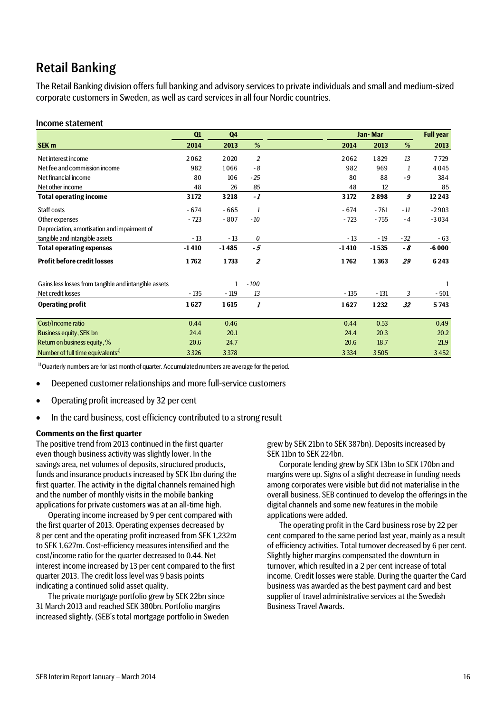## Retail Banking

The Retail Banking division offers full banking and advisory services to private individuals and small and medium-sized corporate customers in Sweden, as well as card services in all four Nordic countries.

### Income statement

|                                                       | Q1      | Q <sub>4</sub> |                |         | Jan-Mar |       |         |
|-------------------------------------------------------|---------|----------------|----------------|---------|---------|-------|---------|
| SEK <sub>m</sub>                                      | 2014    | 2013           | %              | 2014    | 2013    | %     | 2013    |
| Net interest income                                   | 2062    | 2020           | $\overline{2}$ | 2062    | 1829    | 13    | 7729    |
| Net fee and commission income                         | 982     | 1066           | $-8$           | 982     | 969     | 1     | 4045    |
| Net financial income                                  | 80      | 106            | $-25$          | 80      | 88      | $-9$  | 384     |
| Net other income                                      | 48      | 26             | 85             | 48      | 12      |       | 85      |
| <b>Total operating income</b>                         | 3172    | 3218           | $-1$           | 3172    | 2898    | 9     | 12 2 43 |
| Staff costs                                           | $-674$  | $-665$         | 1              | $-674$  | $-761$  | $-11$ | $-2903$ |
| Other expenses                                        | $-723$  | $-807$         | $-10$          | $-723$  | $-755$  | $-4$  | $-3034$ |
| Depreciation, amortisation and impairment of          |         |                |                |         |         |       |         |
| tangible and intangible assets                        | $-13$   | $-13$          | 0              | $-13$   | $-19$   | $-32$ | $-63$   |
| <b>Total operating expenses</b>                       | $-1410$ | $-1485$        | $-5$           | $-1410$ | $-1535$ | - 8   | $-6000$ |
| <b>Profit before credit losses</b>                    | 1762    | 1733           | $\overline{z}$ | 1762    | 1363    | 29    | 6243    |
| Gains less losses from tangible and intangible assets |         | 1              | $-100$         |         |         |       | 1       |
| Net credit losses                                     | $-135$  | $-119$         | 13             | $-135$  | $-131$  | 3     | - 501   |
| <b>Operating profit</b>                               | 1627    | 1615           | 1              | 1627    | 1232    | 32    | 5743    |
|                                                       |         |                |                |         |         |       |         |
| Cost/Income ratio                                     | 0.44    | 0.46           |                | 0.44    | 0.53    |       | 0.49    |
| Business equity, SEK bn                               | 24.4    | 20.1           |                | 24.4    | 20.3    |       | 20.2    |
| Return on business equity, %                          | 20.6    | 24.7           |                | 20.6    | 18.7    |       | 21.9    |
| Number of full time equivalents <sup>1)</sup>         | 3326    | 3378           |                | 3 3 3 4 | 3505    |       | 3452    |

 $1)$  Ouarterly numbers are for last month of quarter. Accumulated numbers are average for the period.

- Deepened customer relationships and more full-service customers
- Operating profit increased by 32 per cent
- In the card business, cost efficiency contributed to a strong result

### **Comments on the first quarter**

The positive trend from 2013 continued in the first quarter even though business activity was slightly lower. In the savings area, net volumes of deposits, structured products, funds and insurance products increased by SEK 1bn during the first quarter. The activity in the digital channels remained high and the number of monthly visits in the mobile banking applications for private customers was at an all-time high.

Operating income increased by 9 per cent compared with the first quarter of 2013. Operating expenses decreased by 8 per cent and the operating profit increased from SEK 1,232m to SEK 1,627m. Cost-efficiency measures intensified and the cost/income ratio for the quarter decreased to 0.44. Net interest income increased by 13 per cent compared to the first quarter 2013. The credit loss level was 9 basis points indicating a continued solid asset quality.

The private mortgage portfolio grew by SEK 22bn since 31 March 2013 and reached SEK 380bn. Portfolio margins increased slightly. (SEB's total mortgage portfolio in Sweden

grew by SEK 21bn to SEK 387bn). Deposits increased by SEK 11bn to SEK 224bn.

Corporate lending grew by SEK 13bn to SEK 170bn and margins were up. Signs of a slight decrease in funding needs among corporates were visible but did not materialise in the overall business. SEB continued to develop the offerings in the digital channels and some new features in the mobile applications were added.

The operating profit in the Card business rose by 22 per cent compared to the same period last year, mainly as a result of efficiency activities. Total turnover decreased by 6 per cent. Slightly higher margins compensated the downturn in turnover, which resulted in a 2 per cent increase of total income. Credit losses were stable. During the quarter the Card business was awarded as the best payment card and best supplier of travel administrative services at the Swedish Business Travel Awards.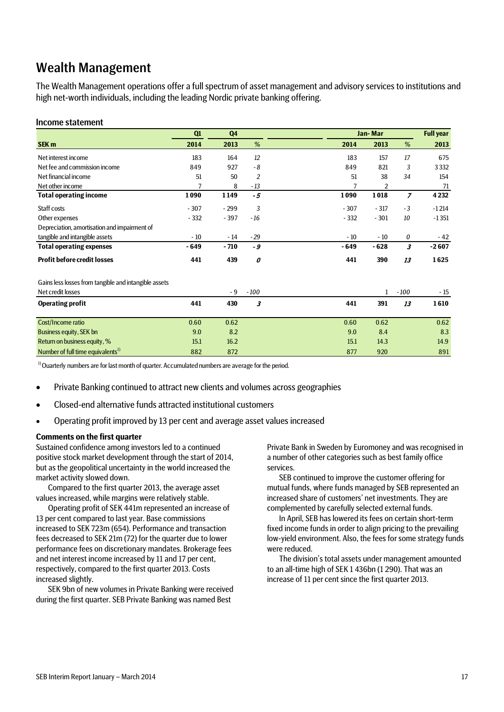## Wealth Management

The Wealth Management operations offer a full spectrum of asset management and advisory services to institutions and high net-worth individuals, including the leading Nordic private banking offering.

### Income statement

|                                                       | Q1     | Q <sub>4</sub> |                |        | Jan-Mar      |                |         |
|-------------------------------------------------------|--------|----------------|----------------|--------|--------------|----------------|---------|
| <b>SEK m</b>                                          | 2014   | 2013           | %              | 2014   | 2013         | %              | 2013    |
| Net interest income                                   | 183    | 164            | 12             | 183    | 157          | 17             | 675     |
| Net fee and commission income                         | 849    | 927            | $-8$           | 849    | 821          | 3              | 3332    |
| Net financial income                                  | 51     | 50             | $\overline{2}$ | 51     | 38           | 34             | 154     |
| Net other income                                      | 7      | 8              | $-13$          | 7      | 2            |                | 71      |
| <b>Total operating income</b>                         | 1090   | 1149           | $-5$           | 1090   | 1018         | $\overline{z}$ | 4 2 3 2 |
| Staff costs                                           | $-307$ | $-299$         | 3              | $-307$ | $-317$       | $-3$           | $-1214$ |
| Other expenses                                        | $-332$ | $-397$         | $-16$          | $-332$ | $-301$       | 10             | $-1351$ |
| Depreciation, amortisation and impairment of          |        |                |                |        |              |                |         |
| tangible and intangible assets                        | $-10$  | $-14$          | $-29$          | $-10$  | $-10$        | 0              | $-42$   |
| <b>Total operating expenses</b>                       | $-649$ | $-710$         | - 9            | - 649  | $-628$       | 3              | $-2607$ |
| <b>Profit before credit losses</b>                    | 441    | 439            | 0              | 441    | 390          | 13             | 1625    |
| Gains less losses from tangible and intangible assets |        |                |                |        |              |                |         |
| Net credit losses                                     |        | - 9            | $-100$         |        | $\mathbf{1}$ | $-100$         | $-15$   |
| <b>Operating profit</b>                               | 441    | 430            | 3              | 441    | 391          | 13             | 1610    |
| Cost/Income ratio                                     | 0.60   | 0.62           |                | 0.60   | 0.62         |                | 0.62    |
| Business equity, SEK bn                               | 9.0    | 8.2            |                | 9.0    | 8.4          |                | 8.3     |
| Return on business equity, %                          | 15.1   | 16.2           |                | 15.1   | 14.3         |                | 14.9    |
| Number of full time equivalents <sup>1)</sup>         | 882    | 872            |                | 877    | 920          |                | 891     |

<sup>1)</sup> Ouarterly numbers are for last month of quarter. Accumulated numbers are average for the period.

- Private Banking continued to attract new clients and volumes across geographies
- Closed-end alternative funds attracted institutional customers
- Operating profit improved by 13 per cent and average asset values increased

#### **Comments on the first quarter**

Sustained confidence among investors led to a continued positive stock market development through the start of 2014, but as the geopolitical uncertainty in the world increased the market activity slowed down.

Compared to the first quarter 2013, the average asset values increased, while margins were relatively stable.

Operating profit of SEK 441m represented an increase of 13 per cent compared to last year. Base commissions increased to SEK 723m (654). Performance and transaction fees decreased to SEK 21m (72) for the quarter due to lower performance fees on discretionary mandates. Brokerage fees and net interest income increased by 11 and 17 per cent, respectively, compared to the first quarter 2013. Costs increased slightly.

SEK 9bn of new volumes in Private Banking were received during the first quarter. SEB Private Banking was named Best

Private Bank in Sweden by Euromoney and was recognised in a number of other categories such as best family office services.

SEB continued to improve the customer offering for mutual funds, where funds managed by SEB represented an increased share of customers' net investments. They are complemented by carefully selected external funds.

In April, SEB has lowered its fees on certain short-term fixed income funds in order to align pricing to the prevailing low-yield environment. Also, the fees for some strategy funds were reduced.

The division's total assets under management amounted to an all-time high of SEK 1 436bn (1 290). That was an increase of 11 per cent since the first quarter 2013.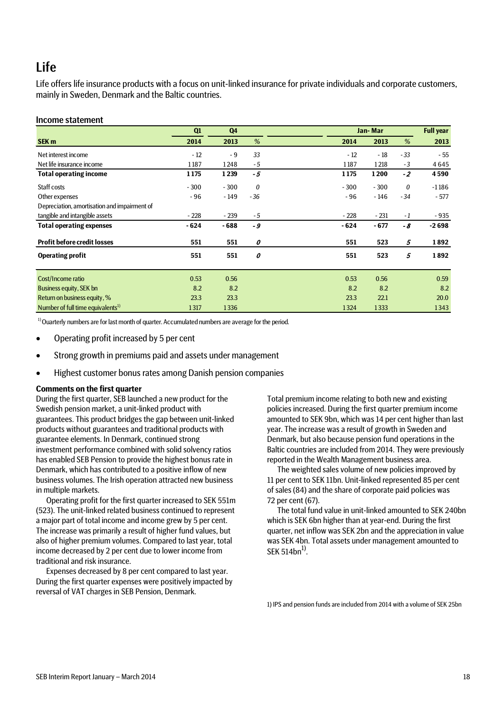## Life

Life offers life insurance products with a focus on unit-linked insurance for private individuals and corporate customers, mainly in Sweden, Denmark and the Baltic countries.

### Income statement

|                                               | Q1     | Q4     |          |        | Jan-Mar |          |         |
|-----------------------------------------------|--------|--------|----------|--------|---------|----------|---------|
| SEK <sub>m</sub>                              | 2014   | 2013   | %        | 2014   | 2013    | %        | 2013    |
| Net interest income                           | $-12$  | $-9$   | 33       | $-12$  | $-18$   | $-33$    | $-55$   |
| Net life insurance income                     | 1187   | 1248   | $-5$     | 1187   | 1218    | $-3$     | 4645    |
| <b>Total operating income</b>                 | 1175   | 1239   | -5       | 1175   | 1200    | $-2$     | 4590    |
| Staff costs                                   | $-300$ | $-300$ | $\theta$ | $-300$ | $-300$  | $\theta$ | $-1186$ |
| Other expenses                                | - 96   | - 149  | $-36$    | $-96$  | - 146   | $-34$    | $-577$  |
| Depreciation, amortisation and impairment of  |        |        |          |        |         |          |         |
| tangible and intangible assets                | $-228$ | $-239$ | $-5$     | $-228$ | $-231$  | - 1      | $-935$  |
| <b>Total operating expenses</b>               | $-624$ | $-688$ | $-9$     | $-624$ | $-677$  | - 8      | $-2698$ |
| <b>Profit before credit losses</b>            | 551    | 551    | 0        | 551    | 523     | 5        | 1892    |
| <b>Operating profit</b>                       | 551    | 551    | 0        | 551    | 523     | 5        | 1892    |
| Cost/Income ratio                             | 0.53   | 0.56   |          | 0.53   | 0.56    |          | 0.59    |
| Business equity, SEK bn                       | 8.2    | 8.2    |          | 8.2    | 8.2     |          | 8.2     |
| Return on business equity, %                  | 23.3   | 23.3   |          | 23.3   | 22.1    |          | 20.0    |
| Number of full time equivalents <sup>1)</sup> | 1317   | 1336   |          | 1324   | 1333    |          | 1343    |

 $1)$  Ouarterly numbers are for last month of quarter. Accumulated numbers are average for the period.

- Operating profit increased by 5 per cent
- Strong growth in premiums paid and assets under management
- Highest customer bonus rates among Danish pension companies

### **Comments on the first quarter**

During the first quarter, SEB launched a new product for the Swedish pension market, a unit-linked product with guarantees. This product bridges the gap between unit-linked products without guarantees and traditional products with guarantee elements. In Denmark, continued strong investment performance combined with solid solvency ratios has enabled SEB Pension to provide the highest bonus rate in Denmark, which has contributed to a positive inflow of new business volumes. The Irish operation attracted new business in multiple markets.

Operating profit for the first quarter increased to SEK 551m (523). The unit-linked related business continued to represent a major part of total income and income grew by 5 per cent. The increase was primarily a result of higher fund values, but also of higher premium volumes. Compared to last year, total income decreased by 2 per cent due to lower income from traditional and risk insurance.

Expenses decreased by 8 per cent compared to last year. During the first quarter expenses were positively impacted by reversal of VAT charges in SEB Pension, Denmark.

Total premium income relating to both new and existing policies increased. During the first quarter premium income amounted to SEK 9bn, which was 14 per cent higher than last year. The increase was a result of growth in Sweden and Denmark, but also because pension fund operations in the Baltic countries are included from 2014. They were previously reported in the Wealth Management business area.

The weighted sales volume of new policies improved by 11 per cent to SEK 11bn. Unit-linked represented 85 per cent of sales (84) and the share of corporate paid policies was 72 per cent (67).

The total fund value in unit-linked amounted to SEK 240bn which is SEK 6bn higher than at year-end. During the first quarter, net inflow was SEK 2bn and the appreciation in value was SEK 4bn. Total assets under management amounted to SEK  $514bn<sup>1</sup>$ .

1) IPS and pension funds are included from 2014 with a volume of SEK 25bn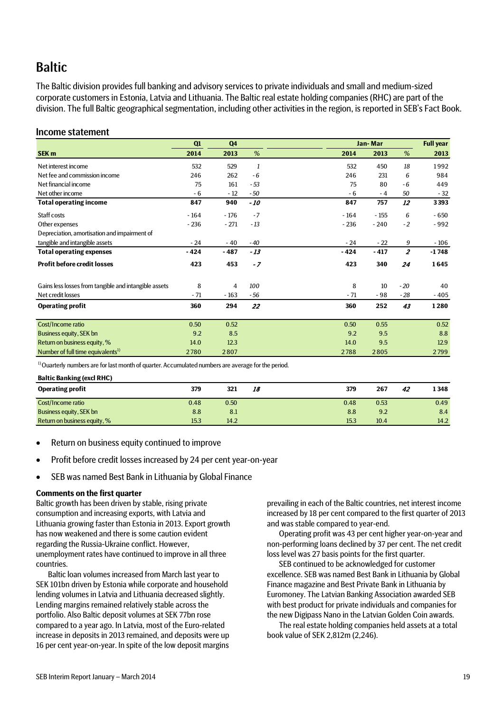## **Baltic**

The Baltic division provides full banking and advisory services to private individuals and small and medium-sized corporate customers in Estonia, Latvia and Lithuania. The Baltic real estate holding companies (RHC) are part of the division. The full Baltic geographical segmentation, including other activities in the region, is reported in SEB's Fact Book.

### Income statement

|                                                       | Q1     | Q4     |              |        | Jan-Mar |                |         |
|-------------------------------------------------------|--------|--------|--------------|--------|---------|----------------|---------|
| <b>SEK m</b>                                          | 2014   | 2013   | %            | 2014   | 2013    | %              | 2013    |
| Net interest income                                   | 532    | 529    | $\mathbf{1}$ | 532    | 450     | 18             | 1992    |
| Net fee and commission income                         | 246    | 262    | $-6$         | 246    | 231     | 6              | 984     |
| Net financial income                                  | 75     | 161    | $-53$        | 75     | 80      | - 6            | 449     |
| Net other income                                      | $-6$   | $-12$  | $-50$        | - 6    | $-4$    | 50             | $-32$   |
| <b>Total operating income</b>                         | 847    | 940    | - 10         | 847    | 757     | 12             | 3393    |
| Staff costs                                           | $-164$ | $-176$ | $-7$         | $-164$ | $-155$  | 6              | $-650$  |
| Other expenses                                        | $-236$ | $-271$ | $-13$        | $-236$ | $-240$  | $-2$           | $-992$  |
| Depreciation, amortisation and impairment of          |        |        |              |        |         |                |         |
| tangible and intangible assets                        | $-24$  | $-40$  | $-40$        | $-24$  | $-22$   | 9              | - 106   |
| <b>Total operating expenses</b>                       | $-424$ | $-487$ | $-13$        | $-424$ | $-417$  | $\overline{z}$ | $-1748$ |
| <b>Profit before credit losses</b>                    | 423    | 453    | $-7$         | 423    | 340     | 24             | 1645    |
| Gains less losses from tangible and intangible assets | 8      | 4      | 100          | 8      | 10      | $-20$          | 40      |
| Net credit losses                                     | - 71   | $-163$ | - 56         | - 71   | - 98    | - 28           | $-405$  |
| <b>Operating profit</b>                               | 360    | 294    | 22           | 360    | 252     | 43             | 1280    |
| Cost/Income ratio                                     | 0.50   | 0.52   |              | 0.50   | 0.55    |                | 0.52    |
| Business equity, SEK bn                               | 9.2    | 8.5    |              | 9.2    | 9.5     |                | 8.8     |
| Return on business equity, %                          | 14.0   | 12.3   |              | 14.0   | 9.5     |                | 12.9    |
| Number of full time equivalents <sup>1)</sup>         | 2780   | 2807   |              | 2788   | 2805    |                | 2799    |

<sup>1)</sup> Ouarterly numbers are for last month of quarter. Accumulated numbers are average for the period.

**Baltic Banking (excl RHC)**

| 1348 |
|------|
| 0.49 |
| 8.4  |
| 14.2 |
|      |

- Return on business equity continued to improve
- Profit before credit losses increased by 24 per cent year-on-year
- SEB was named Best Bank in Lithuania by Global Finance

### **Comments on the first quarter**

Baltic growth has been driven by stable, rising private consumption and increasing exports, with Latvia and Lithuania growing faster than Estonia in 2013. Export growth has now weakened and there is some caution evident regarding the Russia-Ukraine conflict. However, unemployment rates have continued to improve in all three countries.

Baltic loan volumes increased from March last year to SEK 101bn driven by Estonia while corporate and household lending volumes in Latvia and Lithuania decreased slightly. Lending margins remained relatively stable across the portfolio. Also Baltic deposit volumes at SEK 77bn rose compared to a year ago. In Latvia, most of the Euro-related increase in deposits in 2013 remained, and deposits were up 16 per cent year-on-year. In spite of the low deposit margins prevailing in each of the Baltic countries, net interest income increased by 18 per cent compared to the first quarter of 2013 and was stable compared to year-end.

Operating profit was 43 per cent higher year-on-year and non-performing loans declined by 37 per cent. The net credit loss level was 27 basis points for the first quarter.

SEB continued to be acknowledged for customer excellence. SEB was named Best Bank in Lithuania by Global Finance magazine and Best Private Bank in Lithuania by Euromoney. The Latvian Banking Association awarded SEB with best product for private individuals and companies for the new Digipass Nano in the Latvian Golden Coin awards.

The real estate holding companies held assets at a total book value of SEK 2,812m (2,246).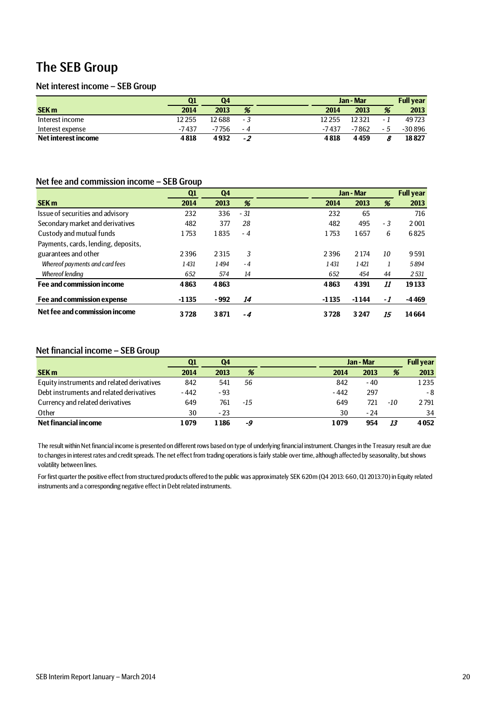## The SEB Group

### Net interest income – SEB Group

|                     | Ω1     | Q4     |     |        | Jan - Mar |      | <b>Full year</b> |
|---------------------|--------|--------|-----|--------|-----------|------|------------------|
| <b>SEK m</b>        | 2014   | 2013   | %   | 2014   | 2013      | %    | 2013             |
| Interest income     | 12 255 | 12 688 | - 3 | 12 255 | 12321     | $-1$ | 49723            |
| Interest expense    | -7437  | -7756  | - 4 | -7437  | -7862     | - 5  | $-30896$         |
| Net interest income | 4818   | 4932   | -2  | 4818   | 4459      |      | 18827            |

### Net fee and commission income – SEB Group

|                                     | Q1      | Q <sub>4</sub> |      |         | Jan - Mar |      | <b>Full year</b> |
|-------------------------------------|---------|----------------|------|---------|-----------|------|------------------|
| <b>SEK m</b>                        | 2014    | 2013           | %    | 2014    | 2013      | %    | 2013             |
| Issue of securities and advisory    | 232     | 336            | - 31 | 232     | 65        |      | 716              |
| Secondary market and derivatives    | 482     | 377            | 28   | 482     | 495       | $-3$ | 2001             |
| Custody and mutual funds            | 1753    | 1835           | $-4$ | 1753    | 1657      | 6    | 6825             |
| Payments, cards, lending, deposits, |         |                |      |         |           |      |                  |
| guarantees and other                | 2396    | 2315           | 3    | 2396    | 2 1 7 4   | 10   | 9591             |
| Whereof payments and card fees      | 1431    | 1494           | $-4$ | 1431    | 1421      |      | 5894             |
| <b>Whereof lending</b>              | 652     | 574            | 14   | 652     | 454       | 44   | 2531             |
| Fee and commission income           | 4863    | 4863           |      | 4863    | 4391      | 11   | 19133            |
| Fee and commission expense          | $-1135$ | - 992          | 14   | $-1135$ | $-1144$   | -1   | -4469            |
| Net fee and commission income       | 3728    | 3871           | -4   | 3728    | 3 2 4 7   | 15   | 14664            |

### Net financial income – SEB Group

|                                            | Q1     | Q4    |     |        | Jan - Mar |     |      |
|--------------------------------------------|--------|-------|-----|--------|-----------|-----|------|
| <b>SEK m</b>                               | 2014   | 2013  | %   | 2014   | 2013      | %   | 2013 |
| Equity instruments and related derivatives | 842    | 541   | 56  | 842    | - 40      |     | 1235 |
| Debt instruments and related derivatives   | $-442$ | $-93$ |     | $-442$ | 297       |     | - 8  |
| Currency and related derivatives           | 649    | 761   | -15 | 649    | 721       | -10 | 2791 |
| Other                                      | 30     | $-23$ |     | 30     | - 24      |     | 34   |
| Net financial income                       | 1 079  | 1186  | -9  | 1079   | 954       | 13  | 4052 |

The result within Net financial income is presented on different rows based on type of underlying financial instrument. Changes in the Treasury result are due to changes in interest rates and credit spreads. The net effect from trading operations is fairly stable over time, although affected by seasonality, but shows volatility between lines.

For first quarter the positive effect from structured products offered to the public was approximately SEK 620m (Q4 2013: 660, Q1 2013:70) in Equity related instruments and a corresponding negative effect in Debt related instruments.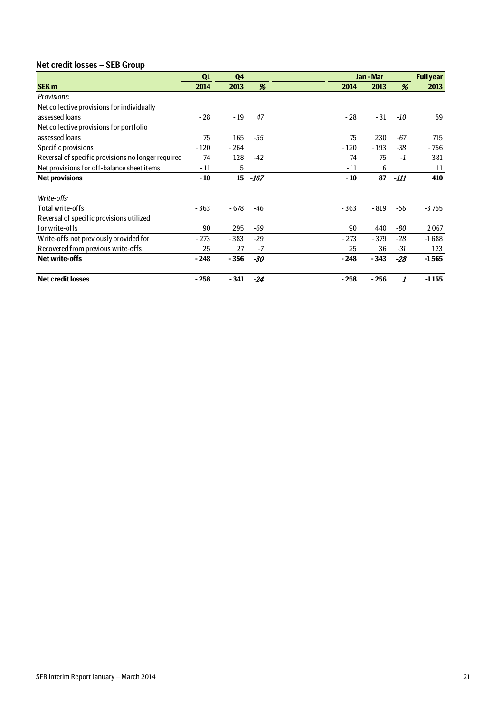## Net credit losses – SEB Group

|                                                    | Q1     | Q <sub>4</sub> |       |        | Jan - Mar |       | <b>Full year</b> |
|----------------------------------------------------|--------|----------------|-------|--------|-----------|-------|------------------|
| <b>SEK m</b>                                       | 2014   | 2013           | %     | 2014   | 2013      | %     | 2013             |
| Provisions:                                        |        |                |       |        |           |       |                  |
| Net collective provisions for individually         |        |                |       |        |           |       |                  |
| assessed loans                                     | $-28$  | $-19$          | 47    | $-28$  | $-31$     | $-10$ | 59               |
| Net collective provisions for portfolio            |        |                |       |        |           |       |                  |
| assessed loans                                     | 75     | 165            | -55   | 75     | 230       | $-67$ | 715              |
| Specific provisions                                | $-120$ | $-264$         |       | $-120$ | $-193$    | $-38$ | - 756            |
| Reversal of specific provisions no longer required | 74     | 128            | $-42$ | 74     | 75        | $-1$  | 381              |
| Net provisions for off-balance sheet items         | - 11   | 5              |       | $-11$  | 6         |       | 11               |
| <b>Net provisions</b>                              | $-10$  | 15             | -167  | $-10$  | 87        | -111  | 410              |
|                                                    |        |                |       |        |           |       |                  |
| Write-offs:                                        |        |                |       |        |           |       |                  |
| Total write-offs                                   | $-363$ | $-678$         | $-46$ | $-363$ | - 819     | -56   | $-3755$          |
| Reversal of specific provisions utilized           |        |                |       |        |           |       |                  |
| for write-offs                                     | 90     | 295            | -69   | 90     | 440       | -80   | 2067             |
| Write-offs not previously provided for             | $-273$ | $-383$         | $-29$ | $-273$ | $-379$    | $-28$ | $-1688$          |
| Recovered from previous write-offs                 | 25     | 27             | $-7$  | 25     | 36        | $-31$ | 123              |
| <b>Net write-offs</b>                              | $-248$ | $-356$         | $-30$ | $-248$ | $-343$    | $-28$ | $-1565$          |
| <b>Net credit losses</b>                           | $-258$ | $-341$         | $-24$ | $-258$ | $-256$    | 1     | $-1155$          |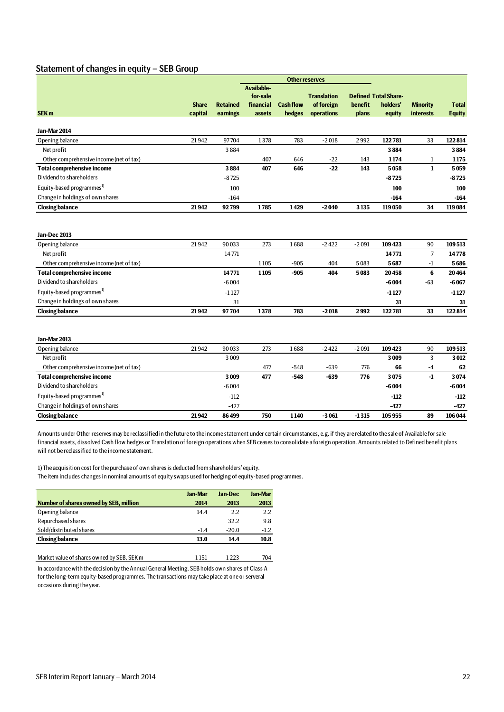## Statement of changes in equity – SEB Group

|                                         |                         |                             |                     |                            | <b>Other reserves</b>    |                  |                             |                              |                               |
|-----------------------------------------|-------------------------|-----------------------------|---------------------|----------------------------|--------------------------|------------------|-----------------------------|------------------------------|-------------------------------|
|                                         |                         |                             | <b>Available-</b>   |                            |                          |                  |                             |                              |                               |
|                                         |                         |                             | for-sale            |                            | <b>Translation</b>       |                  | <b>Defined Total Share-</b> |                              |                               |
| SEK <sub>m</sub>                        | <b>Share</b><br>capital | <b>Retained</b><br>earnings | financial<br>assets | <b>Cash flow</b><br>hedges | of foreign<br>operations | benefit<br>plans | holders'<br>equity          | <b>Minority</b><br>interests | <b>Total</b><br><b>Equity</b> |
|                                         |                         |                             |                     |                            |                          |                  |                             |                              |                               |
| Jan-Mar 2014                            |                         |                             |                     |                            |                          |                  |                             |                              |                               |
| Opening balance                         | 21942                   | 97704                       | 1378                | 783                        | $-2018$                  | 2992             | 122781                      | 33                           | 122814                        |
| Net profit                              |                         | 3884                        |                     |                            |                          |                  | 3884                        |                              | 3884                          |
| Other comprehensive income (net of tax) |                         |                             | 407                 | 646                        | $-22$                    | 143              | 1174                        | 1                            | 1175                          |
| <b>Total comprehensive income</b>       |                         | 3884                        | 407                 | 646                        | $-22$                    | 143              | 5058                        | $\mathbf{1}$                 | 5059                          |
| Dividend to shareholders                |                         | $-8725$                     |                     |                            |                          |                  | $-8725$                     |                              | $-8725$                       |
| Equity-based programmes <sup>1)</sup>   |                         | 100                         |                     |                            |                          |                  | 100                         |                              | 100                           |
| Change in holdings of own shares        |                         | $-164$                      |                     |                            |                          |                  | $-164$                      |                              | $-164$                        |
| <b>Closing balance</b>                  | 21942                   | 92799                       | 1785                | 1429                       | $-2040$                  | 3135             | 119050                      | 34                           | 119084                        |
|                                         |                         |                             |                     |                            |                          |                  |                             |                              |                               |
|                                         |                         |                             |                     |                            |                          |                  |                             |                              |                               |
| Jan-Dec 2013                            |                         |                             |                     |                            |                          |                  |                             |                              |                               |
| Opening balance                         | 21942                   | 90033                       | 273                 | 1688                       | $-2422$                  | $-2091$          | 109423                      | 90                           | 109513                        |
| Net profit                              |                         | 14771                       |                     |                            |                          |                  | 14771                       | $\overline{7}$               | 14778                         |
| Other comprehensive income (net of tax) |                         |                             | 1105                | $-905$                     | 404                      | 5083             | 5687                        | $-1$                         | 5686                          |
| <b>Total comprehensive income</b>       |                         | 14771                       | 1105                | $-905$                     | 404                      | 5083             | 20458                       | 6                            | 20464                         |
| Dividend to shareholders                |                         | $-6004$                     |                     |                            |                          |                  | $-6004$                     | $-63$                        | $-6067$                       |
| Equity-based programmes <sup>1)</sup>   |                         | $-1127$                     |                     |                            |                          |                  | $-1127$                     |                              | -1127                         |
| Change in holdings of own shares        |                         | 31                          |                     |                            |                          |                  | 31                          |                              | 31                            |
| <b>Closing balance</b>                  | 21942                   | 97704                       | 1378                | 783                        | $-2018$                  | 2992             | 122781                      | 33                           | 122814                        |
|                                         |                         |                             |                     |                            |                          |                  |                             |                              |                               |
| Jan-Mar 2013                            |                         |                             |                     |                            |                          |                  |                             |                              |                               |
| Opening balance                         | 21942                   | 90033                       | 273                 | 1688                       | $-2422$                  | $-2091$          | 109423                      | 90                           | 109513                        |
| Net profit                              |                         | 3009                        |                     |                            |                          |                  | 3009                        | 3                            | 3012                          |
| Other comprehensive income (net of tax) |                         |                             | 477                 | $-548$                     | $-639$                   | 776              | 66                          | $-4$                         | 62                            |
| <b>Total comprehensive income</b>       |                         | 3009                        | 477                 | $-548$                     | $-639$                   | 776              | 3075                        | -1                           | 3074                          |
| Dividend to shareholders                |                         | $-6004$                     |                     |                            |                          |                  | -6004                       |                              | $-6004$                       |
| Equity-based programmes <sup>1)</sup>   |                         | $-112$                      |                     |                            |                          |                  | $-112$                      |                              | $-112$                        |
| Change in holdings of own shares        |                         | $-427$                      |                     |                            |                          |                  | -427                        |                              | $-427$                        |
| <b>Closing balance</b>                  | 21942                   | 86499                       | 750                 | 1140                       | $-3061$                  | $-1315$          | 105955                      | 89                           | 106044                        |

Amounts under Other reserves may be reclassified in the future to the income statement under certain circumstances, e.g. if they are related to the sale of Available for sale financial assets, dissolved Cash flow hedges or Translation of foreign operations when SEB ceases to consolidate a foreign operation. Amounts related to Defined benefit plans will not be reclassified to the income statement.

1) The acquisition cost for the purchase of own shares is deducted from shareholders' equity. The item includes changes in nominal amounts of equity swaps used for hedging of equity-based programmes.

|                                        | <b>Jan-Mar</b> | lan-Dec | Jan-Mar |
|----------------------------------------|----------------|---------|---------|
| Number of shares owned by SEB, million | 2014           | 2013    | 2013    |
| Opening balance                        | 14.4           | 22      | 2.2     |
| Repurchased shares                     |                | 32.2    | 9.8     |
| Sold/distributed shares                | $-1.4$         | $-20.0$ | $-1.2$  |
| <b>Closing balance</b>                 | 13.0           | 14.4    | 10.8    |
|                                        |                |         |         |

| Market value of shares owned by SEB, SEK m                                                     | 1 151 | 1223 | 704 |
|------------------------------------------------------------------------------------------------|-------|------|-----|
| In accordance with the decision by the Annual General Meeting, SEB holds own shares of Class A |       |      |     |

for the long-term equity-based programmes. The transactions may take place at one or serveral occasions during the year.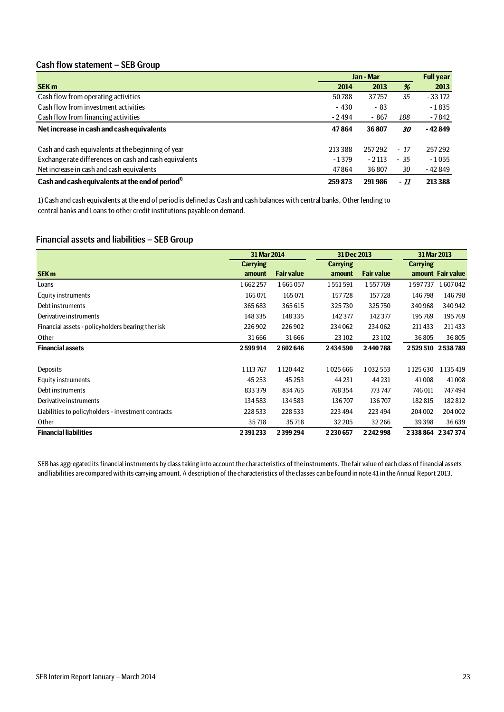### Cash flow statement – SEB Group

|                                                              |         | Jan - Mar |       | <b>Full year</b> |
|--------------------------------------------------------------|---------|-----------|-------|------------------|
| <b>SEK m</b>                                                 | 2014    | 2013      | %     | 2013             |
| Cash flow from operating activities                          | 50788   | 37757     | 35    | $-33172$         |
| Cash flow from investment activities                         | $-430$  | $-83$     |       | $-1835$          |
| Cash flow from financing activities                          | $-2494$ | $-867$    | 188   | - 7842           |
| Net increase in cash and cash equivalents                    | 47864   | 36807     | 30    | - 42 849         |
| Cash and cash equivalents at the beginning of year           | 213388  | 257292    | $-17$ | 257292           |
| Exchange rate differences on cash and cash equivalents       | $-1379$ | $-2113$   | $-35$ | $-1055$          |
| Net increase in cash and cash equivalents                    | 47864   | 36807     | 30    | - 42 849         |
| Cash and cash equivalents at the end of period <sup>1)</sup> | 259873  | 291986    | - 11  | 213 388          |

1) Cash and cash equivalents at the end of period is defined as Cash and cash balances with central banks, Other lending to central banks and Loans to other credit institutions payable on demand.

### Financial assets and liabilities – SEB Group

|                                                     | 31 Mar 2014     |                   | 31 Dec 2013     |                   |                             | 31 Mar 2013       |  |  |
|-----------------------------------------------------|-----------------|-------------------|-----------------|-------------------|-----------------------------|-------------------|--|--|
|                                                     | <b>Carrying</b> |                   | <b>Carrying</b> |                   | <b>Carrying</b>             |                   |  |  |
| <b>SEK m</b>                                        | amount          | <b>Fair value</b> | amount          | <b>Fair value</b> |                             | amount Fair value |  |  |
| Loans                                               | 1662257         | 1665057           | 1551591         | 1557769           | 1597737                     | 1607042           |  |  |
| <b>Equity instruments</b>                           | 165 071         | 165 071           | 157728          | 157728            | 146798                      | 146798            |  |  |
| Debt instruments                                    | 365 683         | 365 615           | 325730          | 325750            | 340968                      | 340942            |  |  |
| Derivative instruments                              | 148335          | 148335            | 142377          | 142 377           | 195769                      | 195769            |  |  |
| Financial assets - policyholders bearing the risk   | 226902          | 226902            | 234062          | 234062            | 211433                      | 211433            |  |  |
| Other                                               | 31666           | 31666             | 23 10 2         | 23 10 2           | 36805                       | 36805             |  |  |
| <b>Financial assets</b>                             | 2599914         | 2602646           | 2434590         | 2440788           |                             | 2529510 2538789   |  |  |
|                                                     |                 |                   |                 |                   |                             |                   |  |  |
| Deposits                                            | 1 1 1 3 7 6 7   | 1120442           | 1025666         | 1032553           | 1125630                     | 1 1 3 5 4 1 9     |  |  |
| Equity instruments                                  | 45 2 53         | 45 2 53           | 44 2 31         | 44 2 31           | 41008                       | 41008             |  |  |
| Debt instruments                                    | 833379          | 834765            | 768354          | 773 747           | 746011                      | 747494            |  |  |
| Derivative instruments                              | 134583          | 134583            | 136707          | 136707            | 182815                      | 182812            |  |  |
| Liabilities to policyholders - investment contracts | 228533          | 228533            | 223 494         | 223 494           | 204 002                     | 204 002           |  |  |
| Other                                               | 35718           | 35718             | 32 205          | 32 2 66           | 39398                       | 36639             |  |  |
| <b>Financial liabilities</b>                        | 2391233         | 2399294           | 2230657         | 2242998           | 2 3 3 8 8 6 4 2 3 4 7 3 7 4 |                   |  |  |

SEB has aggregated its financial instruments by class taking into account the characteristics of the instruments. The fair value of each class of financial assets and liabilities are compared with its carrying amount. A description of the characteristics of the classes can be found in note 41 in the Annual Report 2013.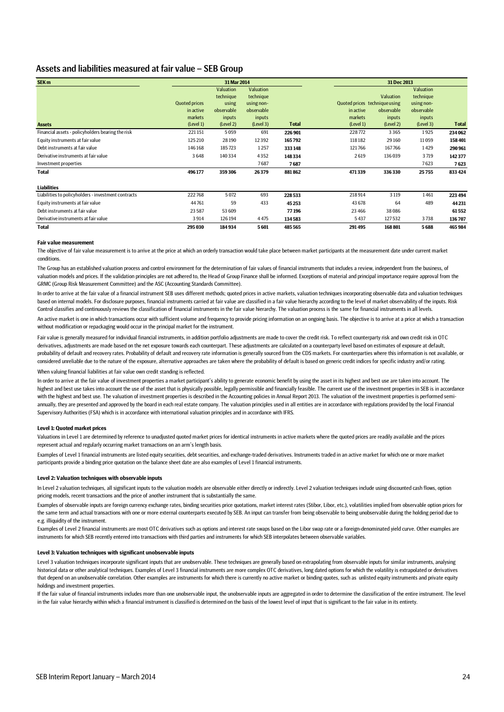### Assets and liabilities measured at fair value – SEB Group

| SEK <sub>m</sub>                                    |                      | 31 Mar 2014 |            |              |                               | 31 Dec 2013 |            |              |
|-----------------------------------------------------|----------------------|-------------|------------|--------------|-------------------------------|-------------|------------|--------------|
|                                                     |                      | Valuation   | Valuation  |              |                               |             | Valuation  |              |
|                                                     |                      | technique   | technique  |              |                               | Valuation   | technique  |              |
|                                                     | <b>Quoted prices</b> | using       | using non- |              | Quoted prices technique using |             | using non- |              |
|                                                     | in active            | observable  | observable |              | in active                     | observable  | observable |              |
|                                                     | markets              | inputs      | inputs     |              | markets                       | inputs      | inputs     |              |
| <b>Assets</b>                                       | (Level 1)            | (Level 2)   | (Level 3)  | <b>Total</b> | (Level 1)                     | (Level 2)   | (Level 3)  | <b>Total</b> |
| Financial assets - policyholders bearing the risk   | 221151               | 5059        | 691        | 226 901      | 228772                        | 3365        | 1925       | 234 062      |
| Equity instruments at fair value                    | 125 210              | 28 190      | 12392      | 165792       | 118182                        | 29 160      | 11059      | 158401       |
| Debt instruments at fair value                      | 146168               | 185723      | 1257       | 333148       | 121766                        | 167766      | 1429       | 290961       |
| Derivative instruments at fair value                | 3648                 | 140334      | 4352       | 148334       | 2619                          | 136039      | 3719       | 142377       |
| Investment properties                               |                      |             | 7687       | 7687         |                               |             | 7623       | 7623         |
| <b>Total</b>                                        | 496177               | 359306      | 26379      | 881862       | 471339                        | 336330      | 25755      | 833 424      |
| <b>Liabilities</b>                                  |                      |             |            |              |                               |             |            |              |
| Liabilities to policyholders - investment contracts | 222 768              | 5072        | 693        | 228533       | 218914                        | 3 1 1 9     | 1461       | 223 494      |
| Equity instruments at fair value                    | 44761                | 59          | 433        | 45253        | 43 678                        | 64          | 489        | 44 2 31      |
| Debt instruments at fair value                      | 23 5 87              | 53 609      |            | 77196        | 23 4 66                       | 38086       |            | 61552        |
| Derivative instruments at fair value                | 3914                 | 126 194     | 4475       | 134583       | 5437                          | 127532      | 3738       | 136707       |
| <b>Total</b>                                        | 295 030              | 184934      | 5601       | 485 565      | 291495                        | 168801      | 5688       | 465984       |

#### **Fair value measurement**

The objective of fair value measurement is to arrive at the price at which an orderly transaction would take place between market participants at the measurement date under current market conditions.

The Group has an established valuation process and control environment for the determination of fair values of financial instruments that includes a review, independent from the business, of valuation models and prices. If the validation principles are not adhered to, the Head of Group Finance shall be informed. Exceptions of material and principal importance require approval from the GRMC (Group Risk Measurement Committee) and the ASC (Accounting Standards Committee).

In order to arrive at the fair value of a financial instrument SEB uses different methods; quoted prices in active markets, valuation techniques incorporating observable data and valuation techniques based on internal models. For disclosure purposes, financial instruments carried at fair value are classified in a fair value hierarchy according to the level of market observability of the inputs. Risk Control classifies and continuously reviews the classification of financial instruments in the fair value hierarchy. The valuation process is the same for financial instruments in all levels.

An active market is one in which transactions occur with sufficient volume and frequency to provide pricing information on an ongoing basis. The objective is to arrive at a price at which a transaction without modification or repackaging would occur in the principal market for the instrument.

Fair value is generally measured for individual financial instruments, in addition portfolio adjustments are made to cover the credit risk. To reflect counterparty risk and own credit risk in OTC derivatives, adjustments are made based on the net exposure towards each counterpart. These adjustments are calculated on a counterparty level based on estimates of exposure at default, probability of default and recovery rates. Probability of default and recovery rate information is generally sourced from the CDS markets. For counterparties where this information is not available, or considered unreliable due to the nature of the exposure, alternative approaches are taken where the probability of default is based on generic credit indices for specific industry and/or rating.

When valuing financial liabilities at fair value own credit standing is reflected.

In order to arrive at the fair value of investment properties a market participant's ability to generate economic benefit by using the asset in its highest and best use are taken into account. The highest and best use takes into account the use of the asset that is physically possible, legally permissible and financially feasible. The current use of the investment properties in SEB is in accordance with the highest and best use. The valuation of investment properties is described in the Accounting policies in Annual Report 2013. The valuation of the investment properties is performed semiannually, they are presented and approved by the board in each real estate company. The valuation principles used in all entities are in accordance with regulations provided by the local Financial Supervisory Authorities (FSA) which is in accordance with international valuation principles and in accordance with IFRS.

#### **Level 1: Quoted market prices**

Valuations in Level 1 are determined by reference to unadjusted quoted market prices for identical instruments in active markets where the quoted prices are readily available and the prices represent actual and regularly occurring market transactions on an arm's length basis.

Examples of Level 1 financial instruments are listed equity securities, debt securities, and exchange-traded derivatives. Instruments traded in an active market for which one or more market participants provide a binding price quotation on the balance sheet date are also examples of Level 1 financial instruments.

#### **Level 2: Valuation techniques with observable inputs**

In Level 2 valuation techniques, all significant inputs to the valuation models are observable either directly or indirectly. Level 2 valuation techniques include using discounted cash flows, option pricing models, recent transactions and the price of another instrument that is substantially the same.

Examples of observable inputs are foreign currency exchange rates, binding securities price quotations, market interest rates (Stibor, Libor, etc.), volatilities implied from observable option prices for the same term and actual transactions with one or more external counterparts executed by SEB. An input can transfer from being observable to being unobservable during the holding period due to e.g. illiquidity of the instrument.

Examples of Level 2 financial instruments are most OTC derivatives such as options and interest rate swaps based on the Libor swap rate or a foreign-denominated yield curve. Other examples are instruments for which SEB recently entered into transactions with third parties and instruments for which SEB interpolates between observable variables.

#### **Level 3: Valuation techniques with significant unobservable inputs**

Level 3 valuation techniques incorporate significant inputs that are unobservable. These techniques are generally based on extrapolating from observable inputs for similar instruments, analysing historical data or other analytical techniques. Examples of Level 3 financial instruments are more complex OTC derivatives, long dated options for which the volatility is extrapolated or derivatives that depend on an unobservable correlation. Other examples are instruments for which there is currently no active market or binding quotes, such as unlisted equity instruments and private equity holdings and investment properties.

If the fair value of financial instruments includes more than one unobservable input, the unobservable inputs are aggregated in order to determine the classification of the entire instrument. The level in the fair value hierarchy within which a financial instrument is classified is determined on the basis of the lowest level of input that is significant to the fair value in its entirety.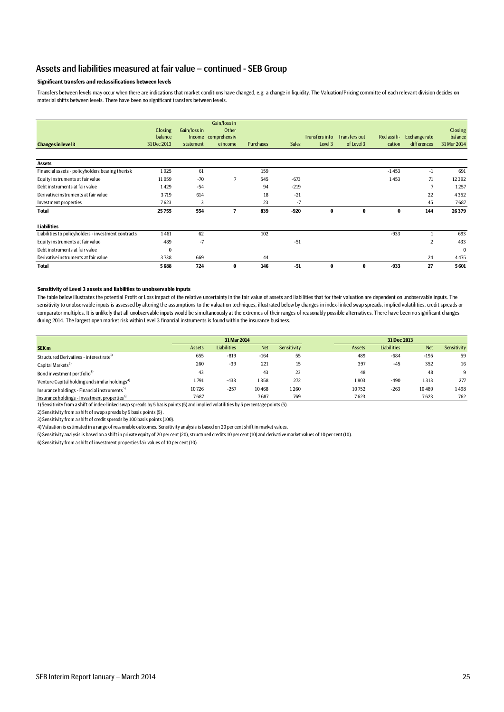### Assets and liabilities measured at fair value – continued - SEB Group

### **Significant transfers and reclassifications between levels**

Transfers between levels may occur when there are indications that market conditions have changed, e.g. a change in liquidity. The Valuation/Pricing committe of each relevant division decides on material shifts between levels. There have been no significant transfers between levels.

| <b>Changes in level 3</b>                           | Closing<br>balance<br>31 Dec 2013 | Gain/loss in<br>statement | Gain/loss in<br>Other<br>Income comprehensiv<br>eincome | <b>Purchases</b> | <b>Sales</b> | <b>Transfers into</b><br>Level 3 | Transfers out<br>of Level 3 | Reclassifi-<br>cation | <b>Exchangerate</b><br>differences | Closing<br>balance<br>31 Mar 2014 |
|-----------------------------------------------------|-----------------------------------|---------------------------|---------------------------------------------------------|------------------|--------------|----------------------------------|-----------------------------|-----------------------|------------------------------------|-----------------------------------|
| <b>Assets</b>                                       |                                   |                           |                                                         |                  |              |                                  |                             |                       |                                    |                                   |
| Financial assets - policyholders bearing the risk   | 1925                              | 61                        |                                                         | 159              |              |                                  |                             | $-1453$               | -1                                 | 691                               |
| Equity instruments at fair value                    | 11059                             | $-70$                     | 7                                                       | 545              | $-673$       |                                  |                             | 1453                  | 71                                 | 12392                             |
| Debt instruments at fair value                      | 1429                              | $-54$                     |                                                         | 94               | $-219$       |                                  |                             |                       | 7                                  | 1257                              |
| Derivative instruments at fair value                | 3719                              | 614                       |                                                         | 18               | $-21$        |                                  |                             |                       | 22                                 | 4352                              |
| Investment properties                               | 7623                              | 3                         |                                                         | 23               | $-7$         |                                  |                             |                       | 45                                 | 7687                              |
| <b>Total</b>                                        | 25755                             | 554                       | 7                                                       | 839              | $-920$       | $\mathbf 0$                      | $\bf{0}$                    | 0                     | 144                                | 26379                             |
| <b>Liabilities</b>                                  |                                   |                           |                                                         |                  |              |                                  |                             |                       |                                    |                                   |
| Liabilities to policyholders - investment contracts | 1461                              | 62                        |                                                         | 102              |              |                                  |                             | $-933$                |                                    | 693                               |
| Equity instruments at fair value                    | 489                               | $-7$                      |                                                         |                  | $-51$        |                                  |                             |                       | 2                                  | 433                               |
| Debt instruments at fair value                      | $\bf{0}$                          |                           |                                                         |                  |              |                                  |                             |                       |                                    | $\bf{0}$                          |
| Derivative instruments at fair value                | 3738                              | 669                       |                                                         | 44               |              |                                  |                             |                       | 24                                 | 4475                              |
| <b>Total</b>                                        | 5688                              | 724                       | $\bf{0}$                                                | 146              | $-51$        | $\bf{0}$                         | 0                           | $-933$                | 27                                 | 5601                              |

#### **Sensitivity of Level 3 assets and liabilities to unobservable inputs**

The table below illustrates the potential Profit or Loss impact of the relative uncertainty in the fair value of assets and liabilities that for their valuation are dependent on unobservable inputs. The sensitivity to unobservable inputs is assessed by altering the assumptions to the valuation techniques, illustrated below by changes in index-linked swap spreads, implied volatilities, credit spreads or comparator multiples. It is unlikely that all unobservable inputs would be simultaneously at the extremes of their ranges of reasonably possible alternatives. There have been no significant changes during 2014. The largest open market risk within Level 3 financial instruments is found within the insurance business.

|                                                            |        | 31 Mar 2014        |            |             |  | 31 Dec 2013 |                    |            |             |
|------------------------------------------------------------|--------|--------------------|------------|-------------|--|-------------|--------------------|------------|-------------|
| SEK <sub>m</sub>                                           | Assets | <b>Liabilities</b> | <b>Net</b> | Sensitivity |  | Assets      | <b>Liabilities</b> | <b>Net</b> | Sensitivity |
| Structured Derivatives - interest rate <sup>1)</sup>       | 655    | $-819$             | $-164$     | 55          |  | 489         | $-684$             | $-195$     | 59          |
| Capital Markets <sup>2)</sup>                              | 260    | $-39$              | 221        | 15          |  | 397         | $-45$              | 352        | 16          |
| Bond investment portfolio <sup>3)</sup>                    | 43     |                    | 43         | 23          |  | 48          |                    | 48         | 9           |
| Venture Capital holding and similar holdings <sup>4)</sup> | 1791   | $-433$             | 1358       | 272         |  | 1803        | $-490$             | 1313       | 277         |
| Insurance holdings - Financial instruments <sup>5)</sup>   | 10726  | $-257$             | 10468      | 1260        |  | 10752       | $-263$             | 10489      | 1498        |
| Insurance holdings - Investment properties <sup>b)</sup>   | 7687   |                    | 7687       | 769         |  | 7623        |                    | 7623       | 762         |

Insurance holdings - Investment properties6) 1) Sensitivity from a shift of index-linked swap spreads by 5 basis points (5) and implied volatilities by 5 percentage points (5).

2) Sensitivity from a shift of swap spreads by 5 basis points (5) .

3) Sensitivity from a shift of credit spreads by 100 basis points (100).

4) Valuation is estimated in a range of reasonable outcomes. Sensitivity analysis is based on 20 per cent shift in market values.

5) Sensitivity analysis is based on a shift in private equity of 20 per cent (20), structured credits 10 per cent (10) and derivative market values of 10 per cent (10).

6) Sensitivity from a shift of investment properties fair values of 10 per cent (10).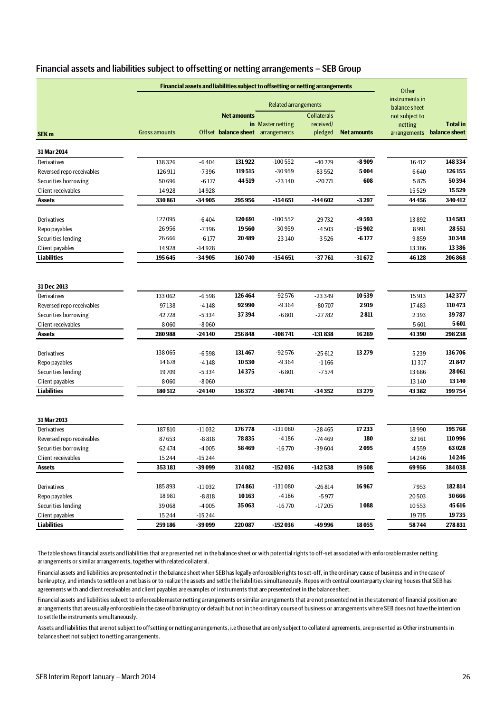| Financial assets and liabilities subject to offsetting or netting arrangements - SEB Group |  |
|--------------------------------------------------------------------------------------------|--|
|--------------------------------------------------------------------------------------------|--|

|                            |                      |          |                                   | <b>Financial assets and liabilities subject to offsetting or netting arrangements</b> |                                 |                    | Other                           |                            |
|----------------------------|----------------------|----------|-----------------------------------|---------------------------------------------------------------------------------------|---------------------------------|--------------------|---------------------------------|----------------------------|
|                            |                      |          |                                   | <b>Related arrangements</b>                                                           |                                 |                    | instruments in<br>balance sheet |                            |
|                            |                      |          | <b>Net amounts</b>                | in Master netting                                                                     | <b>Collaterals</b><br>received/ |                    | not subject to<br>netting       | <b>Total</b> in            |
| SEK <sub>m</sub>           | <b>Gross amounts</b> |          | Offset balance sheet arrangements |                                                                                       | pledged                         | <b>Net amounts</b> |                                 | arrangements balance sheet |
| 31 Mar 2014                |                      |          |                                   |                                                                                       |                                 |                    |                                 |                            |
| Derivatives                | 138326               | $-6404$  | 131922                            | $-100552$                                                                             | $-40279$                        | $-8909$            | 16412                           | 148334                     |
| Reversed repo receivables  | 126911               | $-7396$  | 119515                            | $-30959$                                                                              | $-83552$                        | 5004               | 6640                            | 126 155                    |
| Securities borrowing       | 50696                | $-6177$  | 44519                             | $-23140$                                                                              | $-20771$                        | 608                | 5875                            | 50394                      |
| Client receivables         | 14928                | $-14928$ |                                   |                                                                                       |                                 |                    | 15529                           | 15529                      |
| <b>Assets</b>              | 330861               | $-34905$ | 295956                            | -154 651                                                                              | $-144602$                       | $-3297$            | 44456                           | 340412                     |
| Derivatives                | 127095               | $-6404$  | 120691                            | $-100552$                                                                             | $-29732$                        | $-9593$            | 13892                           | 134583                     |
| Repo payables              | 26956                | $-7396$  | 19560                             | $-30959$                                                                              | $-4503$                         | $-15902$           | 8991                            | 28551                      |
| Securities lending         | 26666                | $-6177$  | 20489                             | $-23140$                                                                              | $-3526$                         | -6 177             | 9859                            | 30348                      |
| Client payables            | 14928                | $-14928$ |                                   |                                                                                       |                                 |                    | 13 3 8 6                        | 13386                      |
| <b>Liabilities</b>         | 195645               | -34 905  | 160740                            | -154 651                                                                              | $-37761$                        | $-31672$           | 46128                           | 206 868                    |
|                            |                      |          |                                   |                                                                                       |                                 |                    |                                 |                            |
| 31 Dec 2013                |                      |          |                                   |                                                                                       |                                 |                    |                                 |                            |
| Derivatives                | 133 062              | $-6598$  | 126464                            | $-92576$                                                                              | $-23349$                        | 10539              | 15913                           | 142377                     |
| Reversed repo receivables  | 97138                | $-4148$  | 92990                             | $-9364$                                                                               | $-80707$                        | 2919               | 17483                           | 110473                     |
| Securities borrowing       | 42728                | $-5334$  | 37394                             | $-6801$                                                                               | $-27782$                        | 2811               | 2393                            | 39787                      |
| Client receivables         | 8060                 | $-8060$  |                                   |                                                                                       |                                 |                    | 5601                            | 5601                       |
| <b>Assets</b>              | 280988               | $-24140$ | 256848                            | $-108741$                                                                             | $-131838$                       | 16269              | 41390                           | 298 238                    |
| Derivatives                | 138065               | $-6598$  | 131467                            | $-92576$                                                                              | $-25612$                        | 13279              | 5239                            | 136706                     |
| Repo payables              | 14678                | $-4148$  | 10530                             | $-9364$                                                                               | $-1166$                         |                    | 11317                           | 21847                      |
| Securities lending         | 19709                | $-5334$  | 14375                             | $-6801$                                                                               | $-7574$                         |                    | 13 6 8 6                        | 28 061                     |
| Client payables            | 8060                 | $-8060$  |                                   |                                                                                       |                                 |                    | 13 140                          | 13140                      |
| <b>Liabilities</b>         | 180512               | $-24140$ | 156372                            | $-108741$                                                                             | $-34352$                        | 13 2 7 9           | 43 3 82                         | 199754                     |
|                            |                      |          |                                   |                                                                                       |                                 |                    |                                 |                            |
| 31 Mar 2013<br>Derivatives | 187810               | $-11032$ | 176778                            | $-131080$                                                                             | $-28465$                        | 17233              | 18990                           | 195768                     |
| Reversed repo receivables  | 87653                | $-8818$  | 78835                             | -4186                                                                                 | $-74469$                        | 180                | 32161                           | 110996                     |
| Securities borrowing       | 62 474               | $-4005$  | 58469                             | $-16770$                                                                              | $-39604$                        | 2095               | 4559                            | 63028                      |
| Client receivables         | 15 244               | -15 244  |                                   |                                                                                       |                                 |                    | 14 2 46                         | 14 2 46                    |
| <b>Assets</b>              | 353181               | -39 099  | 314082                            | -152 036                                                                              | $-142538$                       | 19508              | 69956                           | 384038                     |
|                            |                      |          |                                   |                                                                                       |                                 |                    |                                 |                            |
| Derivatives                | 185893               | $-11032$ | 174861                            | $-131080$                                                                             | $-26814$                        | 16967              | 7953                            | 182814                     |
| Repo payables              | 18981                | $-8818$  | 10163                             | $-4186$                                                                               | $-5977$                         |                    | 20503                           | 30666                      |
| Securities lending         | 39068                | $-4005$  | 35063                             | $-16770$                                                                              | $-17205$                        | 1088               | 10553                           | 45 616                     |
| Client payables            | 15244                | $-15244$ |                                   |                                                                                       |                                 |                    | 19735                           | 19735                      |
| <b>Liabilities</b>         | 259 186              | -39 099  | 220 087                           | -152 036                                                                              | -49 996                         | 18055              | 58744                           | 278 831                    |

The table shows financial assets and liabilities that are presented net in the balance sheet or with potential rights to off-set associated with enforceable master netting arrangements or similar arrangements, together with related collateral.

Financial assets and liabilities are presented net in the balance sheet when SEB has legally enforceable rights to set-off, in the ordinary cause of business and in the case of bankruptcy, and intends to settle on a net basis or to realize the assets and settle the liabilities simultaneously. Repos with central counterparty clearing houses that SEB has agreements with and client receivables and client payables are examples of instruments that are presented net in the balance sheet.

Financial assets and liabilities subject to enforceable master netting arrangements or similar arrangements that are not presented net in the statement of financial position are arrangements that are usually enforceable in the case of bankruptcy or default but not in the ordinary course of business or arrangements where SEB does not have the intention to settle the instruments simultaneously.

Assets and liabilities that are not subject to offsetting or netting arrangements, i.e those that are only subject to collateral agreements, are presented as Other instruments in balance sheet not subject to netting arrangements.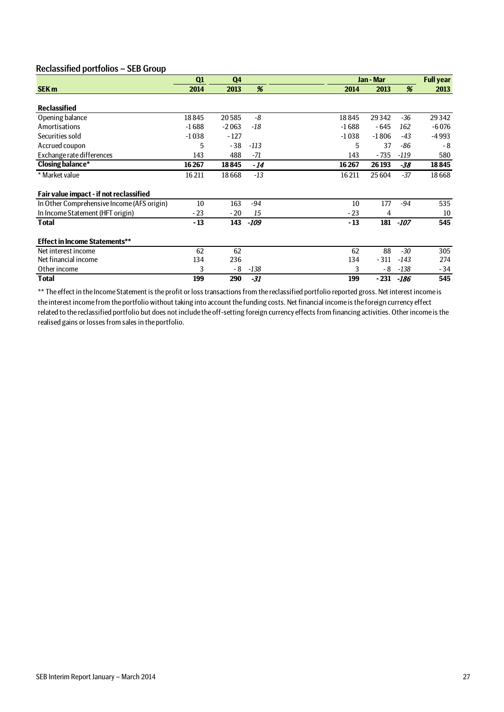### Reclassified portfolios – SEB Group

|                                            | Q1      | Q <sub>4</sub> |        |         | Jan - Mar |        | <b>Full year</b> |
|--------------------------------------------|---------|----------------|--------|---------|-----------|--------|------------------|
| SEK <sub>m</sub>                           | 2014    | 2013           | %      | 2014    | 2013      | %      | 2013             |
|                                            |         |                |        |         |           |        |                  |
| <b>Reclassified</b>                        |         |                |        |         |           |        |                  |
| Opening balance                            | 18845   | 20585          | -8     | 18845   | 29342     | $-36$  | 29342            |
| Amortisations                              | $-1688$ | $-2063$        | -18    | $-1688$ | - 645     | 162    | $-6076$          |
| Securities sold                            | $-1038$ | $-127$         |        | $-1038$ | $-1806$   | $-43$  | $-4993$          |
| Accrued coupon                             | 5       | $-38$          | $-113$ | 5       | 37        | -86    | - 8              |
| Exchange rate differences                  | 143     | 488            | -71    | 143     | - 735     | $-119$ | 580              |
| <b>Closing balance*</b>                    | 16267   | 18845          | - 14   | 16267   | 26 193    | -38    | 18845            |
| * Market value                             | 16211   | 18668          | $-13$  | 16211   | 25 604    | $-37$  | 18668            |
| Fair value impact - if not reclassified    |         |                |        |         |           |        |                  |
| In Other Comprehensive Income (AFS origin) | 10      | 163            | $-94$  | 10      | 177       | -94    | 535              |
| In Income Statement (HFT origin)           | $-23$   | $-20$          | 15     | $-23$   | 4         |        | 10               |
| <b>Total</b>                               | $-13$   | 143            | $-109$ | $-13$   | 181       | -107   | 545              |
| <b>Effect in Income Statements**</b>       |         |                |        |         |           |        |                  |
| Net interest income                        | 62      | 62             |        | 62      | 88        | $-30$  | 305              |
| Net financial income                       | 134     | 236            |        | 134     | $-311$    | $-143$ | 274              |
| Other income                               | 3       | - 8            | $-138$ | 3       | - 8       | -138   | $-34$            |
| Total                                      | 199     | 290            | -31    | 199     | - 231     | -186   | 545              |

\*\* The effect in the Income Statement is the profit or loss transactions from the reclassified portfolio reported gross. Net interest income is the interest income from the portfolio without taking into account the funding costs. Net financial income is the foreign currency effect related to the reclassified portfolio but does not include the off-setting foreign currency effects from financing activities. Other income is the realised gains or losses from sales in the portfolio.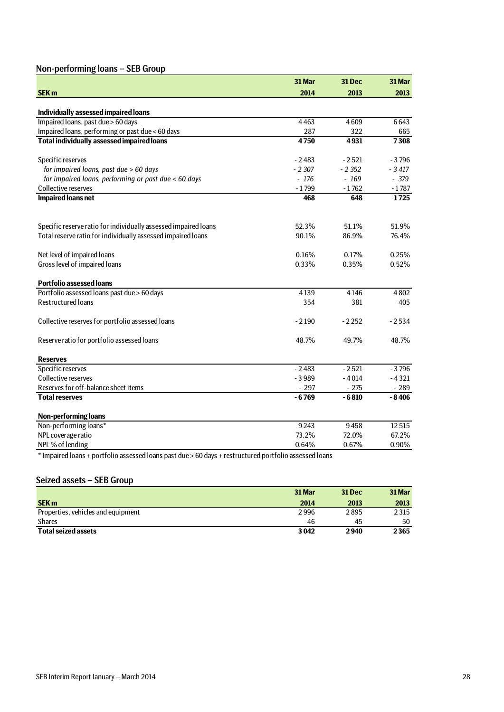## Non-performing loans – SEB Group

|                                                                 | 31 Mar                | 31 Dec  | 31 Mar  |
|-----------------------------------------------------------------|-----------------------|---------|---------|
| <b>SEK m</b>                                                    | 2014                  | 2013    | 2013    |
|                                                                 |                       |         |         |
| Individually assessed impaired loans                            |                       |         |         |
| Impaired loans, past due > 60 days                              | 4463                  | 4609    | 6643    |
| Impaired loans, performing or past due < 60 days                | 287                   | 322     | 665     |
| <b>Total individually assessed impaired loans</b>               | 4750                  | 4931    | 7308    |
| Specific reserves                                               | $-2483$               | $-2521$ | $-3796$ |
| for impaired loans, past due > 60 days                          | $-2307$               | $-2352$ | $-3417$ |
| for impaired loans, performing or past due < 60 days            | - 176                 | $-169$  | $-379$  |
| Collective reserves                                             | $-1799$               | $-1762$ | $-1787$ |
| <b>Impaired loans net</b>                                       | 468                   | 648     | 1725    |
| Specific reserve ratio for individually assessed impaired loans | 52.3%                 | 51.1%   | 51.9%   |
| Total reserve ratio for individually assessed impaired loans    | 90.1%                 | 86.9%   | 76.4%   |
| Net level of impaired loans                                     | 0.16%                 | 0.17%   | 0.25%   |
| Gross level of impaired loans                                   | 0.33%                 | 0.35%   | 0.52%   |
| <b>Portfolio assessed loans</b>                                 |                       |         |         |
| Portfolio assessed loans past due > 60 days                     | 4139                  | 4146    | 4802    |
| <b>Restructured loans</b>                                       | 354                   | 381     | 405     |
| Collective reserves for portfolio assessed loans                | $-2190$               | $-2252$ | $-2534$ |
| Reserve ratio for portfolio assessed loans                      | 48.7%                 | 49.7%   | 48.7%   |
| <b>Reserves</b>                                                 |                       |         |         |
| Specific reserves                                               | $-2483$               | $-2521$ | $-3796$ |
| Collective reserves                                             | $-3989$               | $-4014$ | $-4321$ |
| Reserves for off-balance sheet items                            | $-297$                | $-275$  | $-289$  |
| <b>Total reserves</b>                                           | $-6769$               | $-6810$ | $-8406$ |
| <b>Non-performing loans</b>                                     |                       |         |         |
| Non-performing loans*                                           | 9243                  | 9458    | 12515   |
| NPL coverage ratio                                              | 73.2%                 | 72.0%   | 67.2%   |
| NPL% of lending<br>$\sim$ $\sim$ $\sim$<br>$\sim$ $\sim$ $\sim$ | 0.64%<br>$\mathbf{r}$ | 0.67%   | 0.90%   |

\* Impaired loans + portfolio assessed loans past due > 60 days + restructured portfolio assessed loans

### Seized assets – SEB Group

|                                    | 31 Mar | <b>31 Dec</b> | 31 Mar |
|------------------------------------|--------|---------------|--------|
| <b>SEK m</b>                       | 2014   | 2013          | 2013   |
| Properties, vehicles and equipment | 2996   | 2895          | 2315   |
| <b>Shares</b>                      | 46     | 45            | 50     |
| <b>Total seized assets</b>         | 3042   | 2940          | 2365   |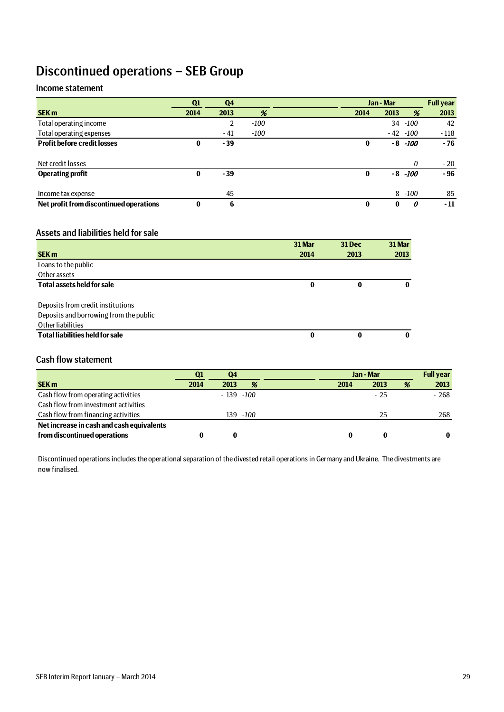## Discontinued operations – SEB Group

### Income statement

|                                         | Q1       | Q4    |        |          | Jan - Mar |             | <b>Full year</b> |
|-----------------------------------------|----------|-------|--------|----------|-----------|-------------|------------------|
| <b>SEK m</b>                            | 2014     | 2013  | %      | 2014     | 2013      | %           | 2013             |
| Total operating income                  |          | 2     | $-100$ |          |           | 34 -100     | 42               |
| Total operating expenses                |          | - 41  | $-100$ |          |           | $-42 - 100$ | $-118$           |
| <b>Profit before credit losses</b>      | 0        | $-39$ |        | 0        |           | $-8$ $-100$ | - 76             |
|                                         |          |       |        |          |           |             |                  |
| Net credit losses                       |          |       |        |          |           | 0           | $-20$            |
| <b>Operating profit</b>                 | 0        | $-39$ |        | $\bf{0}$ |           | $-8 - 100$  | $-96$            |
|                                         |          |       |        |          |           |             |                  |
| Income tax expense                      |          | 45    |        |          |           | $8 - 100$   | 85               |
| Net profit from discontinued operations | $\bf{0}$ | 6     |        | $\bf{0}$ | 0         | 0           | - 11             |

### Assets and liabilities held for sale

|                                        | 31 Mar | 31 Dec | 31 Mar |
|----------------------------------------|--------|--------|--------|
| <b>SEK m</b>                           | 2014   | 2013   | 2013   |
| Loans to the public                    |        |        |        |
| Other assets                           |        |        |        |
| <b>Total assets held for sale</b>      | 0      | 0      |        |
|                                        |        |        |        |
| Deposits from credit institutions      |        |        |        |
| Deposits and borrowing from the public |        |        |        |
| Other liabilities                      |        |        |        |
| <b>Total liabilities held for sale</b> | 0      | 0      |        |

### Cash flow statement

|                                           | Q1   | Q4           |          | Jan - Mar |       | <b>Full year</b> |        |
|-------------------------------------------|------|--------------|----------|-----------|-------|------------------|--------|
| <b>SEK m</b>                              | 2014 | 2013         | %        | 2014      | 2013  | %                | 2013   |
| Cash flow from operating activities       |      | $-139 - 100$ |          |           | $-25$ |                  | $-268$ |
| Cash flow from investment activities      |      |              |          |           |       |                  |        |
| Cash flow from financing activities       |      |              | 139 -100 |           | 25    |                  | 268    |
| Net increase in cash and cash equivalents |      |              |          |           |       |                  |        |
| from discontinued operations              |      |              |          | 0         |       |                  | 0      |

Discontinued operations includes the operational separation of the divested retail operations in Germany and Ukraine. The divestments are now finalised.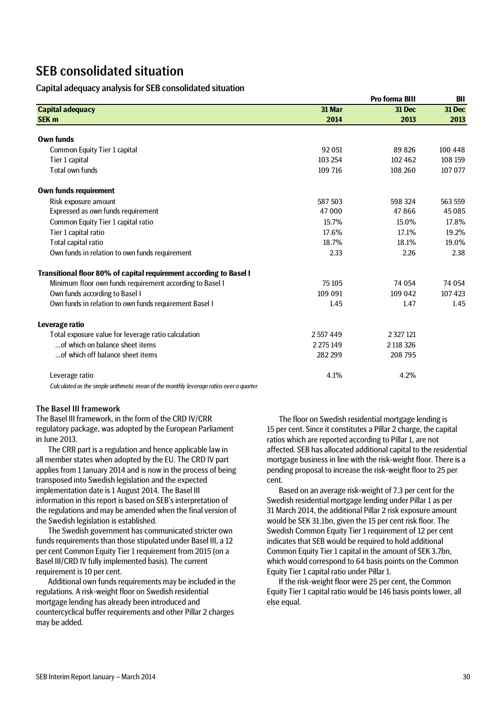## SEB consolidated situation

### Capital adequacy analysis for SEB consolidated situation

|                                                                                                                                                                                                                                                                                                                                                                                                                                                                                                                                                                                                                               |               | <b>BII</b>    |         |
|-------------------------------------------------------------------------------------------------------------------------------------------------------------------------------------------------------------------------------------------------------------------------------------------------------------------------------------------------------------------------------------------------------------------------------------------------------------------------------------------------------------------------------------------------------------------------------------------------------------------------------|---------------|---------------|---------|
| <b>Capital adequacy</b><br>Own funds<br>Common Equity Tier 1 capital<br>Tier 1 capital<br>Total own funds<br>Own funds requirement<br>Risk exposure amount<br>Expressed as own funds requirement<br>Common Equity Tier 1 capital ratio<br>Tier 1 capital ratio<br>Total capital ratio<br>Own funds in relation to own funds requirement<br>Minimum floor own funds requirement according to Basel I<br>Own funds according to Basel I<br>Own funds in relation to own funds requirement Basel I<br>Total exposure value for leverage ratio calculation<br>of which on balance sheet items<br>of which off balance sheet items | 31 Mar        | 31 Dec        | 31 Dec  |
| <b>SEK m</b>                                                                                                                                                                                                                                                                                                                                                                                                                                                                                                                                                                                                                  | 2014          | 2013          | 2013    |
|                                                                                                                                                                                                                                                                                                                                                                                                                                                                                                                                                                                                                               |               |               |         |
|                                                                                                                                                                                                                                                                                                                                                                                                                                                                                                                                                                                                                               | 92051         | 89826         | 100 448 |
|                                                                                                                                                                                                                                                                                                                                                                                                                                                                                                                                                                                                                               | 103 254       | 102462        | 108 159 |
|                                                                                                                                                                                                                                                                                                                                                                                                                                                                                                                                                                                                                               | 109 716       | 108 260       | 107 077 |
|                                                                                                                                                                                                                                                                                                                                                                                                                                                                                                                                                                                                                               |               |               |         |
|                                                                                                                                                                                                                                                                                                                                                                                                                                                                                                                                                                                                                               | 587 503       | 598 324       | 563 559 |
|                                                                                                                                                                                                                                                                                                                                                                                                                                                                                                                                                                                                                               | 47 000        | 47866         | 45085   |
|                                                                                                                                                                                                                                                                                                                                                                                                                                                                                                                                                                                                                               | 15.7%         | 15.0%         | 17.8%   |
|                                                                                                                                                                                                                                                                                                                                                                                                                                                                                                                                                                                                                               | 17.6%         | 17.1%         | 19.2%   |
|                                                                                                                                                                                                                                                                                                                                                                                                                                                                                                                                                                                                                               | 18.7%         | 18.1%         | 19.0%   |
|                                                                                                                                                                                                                                                                                                                                                                                                                                                                                                                                                                                                                               | 2.33          | 2.26          | 2.38    |
| Transitional floor 80% of capital requirement according to Basel I                                                                                                                                                                                                                                                                                                                                                                                                                                                                                                                                                            |               |               |         |
|                                                                                                                                                                                                                                                                                                                                                                                                                                                                                                                                                                                                                               | 75 105        | 74 054        | 74 054  |
|                                                                                                                                                                                                                                                                                                                                                                                                                                                                                                                                                                                                                               | 109 091       | 109 042       | 107 423 |
|                                                                                                                                                                                                                                                                                                                                                                                                                                                                                                                                                                                                                               | 1.45          | 1.47          | 1.45    |
| Leverage ratio                                                                                                                                                                                                                                                                                                                                                                                                                                                                                                                                                                                                                |               |               |         |
|                                                                                                                                                                                                                                                                                                                                                                                                                                                                                                                                                                                                                               | 2557449       | 2 3 2 7 1 2 1 |         |
|                                                                                                                                                                                                                                                                                                                                                                                                                                                                                                                                                                                                                               | 2 2 7 5 1 4 9 | 2 118 326     |         |
|                                                                                                                                                                                                                                                                                                                                                                                                                                                                                                                                                                                                                               | 282 299       | 208 795       |         |
| Leverage ratio                                                                                                                                                                                                                                                                                                                                                                                                                                                                                                                                                                                                                | 4.1%          | 4.2%          |         |
|                                                                                                                                                                                                                                                                                                                                                                                                                                                                                                                                                                                                                               |               |               |         |

*Calculated as the simple arithmetic mean of the monthly leverage ratios over a quarter*

### The Basel III framework

The Basel III framework, in the form of the CRD IV/CRR regulatory package, was adopted by the European Parliament in June 2013.

The CRR part is a regulation and hence applicable law in all member states when adopted by the EU. The CRD IV part applies from 1 January 2014 and is now in the process of being transposed into Swedish legislation and the expected implementation date is 1 August 2014. The Basel III information in this report is based on SEB's interpretation of the regulations and may be amended when the final version of the Swedish legislation is established.

The Swedish government has communicated stricter own funds requirements than those stipulated under Basel III, a 12 per cent Common Equity Tier 1 requirement from 2015 (on a Basel III/CRD IV fully implemented basis). The current requirement is 10 per cent.

Additional own funds requirements may be included in the regulations. A risk-weight floor on Swedish residential mortgage lending has already been introduced and countercyclical buffer requirements and other Pillar 2 charges may be added.

The floor on Swedish residential mortgage lending is 15 per cent. Since it constitutes a Pillar 2 charge, the capital ratios which are reported according to Pillar 1, are not affected. SEB has allocated additional capital to the residential mortgage business in line with the risk-weight floor. There is a pending proposal to increase the risk-weight floor to 25 per cent.

Based on an average risk-weight of 7.3 per cent for the Swedish residential mortgage lending under Pillar 1 as per 31 March 2014, the additional Pillar 2 risk exposure amount would be SEK 31.1bn, given the 15 per cent risk floor. The Swedish Common Equity Tier 1 requirement of 12 per cent indicates that SEB would be required to hold additional Common Equity Tier 1 capital in the amount of SEK 3.7bn, which would correspond to 64 basis points on the Common Equity Tier 1 capital ratio under Pillar 1.

If the risk-weight floor were 25 per cent, the Common Equity Tier 1 capital ratio would be 146 basis points lower, all else equal.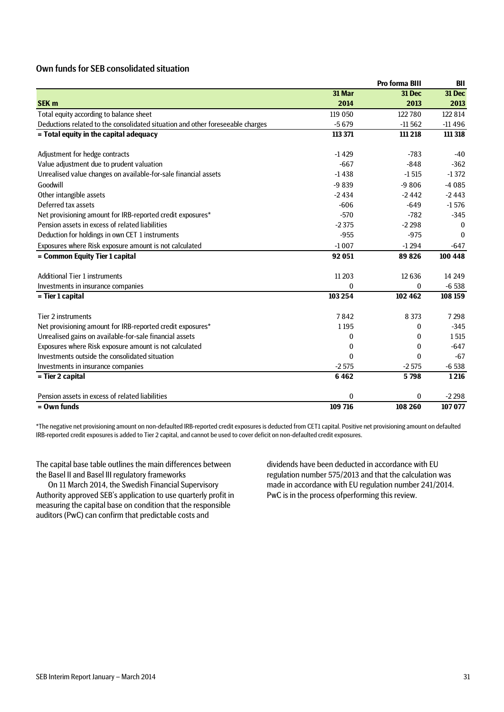### Own funds for SEB consolidated situation

|                                                                                |              | <b>Pro forma BIII</b> | BII      |
|--------------------------------------------------------------------------------|--------------|-----------------------|----------|
|                                                                                | 31 Mar       | 31 Dec                | 31 Dec   |
| <b>SEK m</b>                                                                   | 2014         | 2013                  | 2013     |
| Total equity according to balance sheet                                        | 119 050      | 122780                | 122 814  |
| Deductions related to the consolidated situation and other foreseeable charges | $-5679$      | $-11562$              | $-11496$ |
| = Total equity in the capital adequacy                                         | 113 371      | 111 218               | 111 318  |
| Adjustment for hedge contracts                                                 | $-1429$      | $-783$                | $-40$    |
| Value adjustment due to prudent valuation                                      | $-667$       | $-848$                | $-362$   |
| Unrealised value changes on available-for-sale financial assets                | $-1438$      | $-1515$               | $-1372$  |
| Goodwill                                                                       | $-9839$      | $-9806$               | $-4085$  |
| Other intangible assets                                                        | $-2434$      | $-2442$               | $-2443$  |
| Deferred tax assets                                                            | $-606$       | $-649$                | $-1576$  |
| Net provisioning amount for IRB-reported credit exposures*                     | $-570$       | $-782$                | $-345$   |
| Pension assets in excess of related liabilities                                | $-2.375$     | $-2298$               | $\theta$ |
| Deduction for holdings in own CET 1 instruments                                | $-955$       | $-975$                | $\Omega$ |
| Exposures where Risk exposure amount is not calculated                         | $-1007$      | $-1294$               | $-647$   |
| = Common Equity Tier 1 capital                                                 | 92 051       | 89826                 | 100 448  |
| <b>Additional Tier 1 instruments</b>                                           | 11 20 3      | 12636                 | 14 24 9  |
| Investments in insurance companies                                             | 0            | $\bf{0}$              | $-6538$  |
| = Tier 1 capital                                                               | 103 254      | 102 462               | 108 159  |
| Tier 2 instruments                                                             | 7842         | 8 3 7 3               | 7 2 9 8  |
| Net provisioning amount for IRB-reported credit exposures*                     | 1 1 9 5      | 0                     | $-345$   |
| Unrealised gains on available-for-sale financial assets                        | 0            | 0                     | 1515     |
| Exposures where Risk exposure amount is not calculated                         | 0            | $\bf{0}$              | $-647$   |
| Investments outside the consolidated situation                                 | 0            | 0                     | $-67$    |
| Investments in insurance companies                                             | $-2575$      | $-2575$               | $-6538$  |
| = Tier 2 capital                                                               | 6462         | 5798                  | 1216     |
| Pension assets in excess of related liabilities                                | $\mathbf{0}$ | 0                     | $-2298$  |
| $=$ Own funds                                                                  | 109 716      | 108 260               | 107 077  |

\*The negative net provisioning amount on non-defaulted IRB-reported credit exposures is deducted from CET1 capital. Positive net provisioning amount on defaulted IRB-reported credit exposures is added to Tier 2 capital, and cannot be used to cover deficit on non-defaulted credit exposures.

The capital base table outlines the main differences between the Basel II and Basel III regulatory frameworks

On 11 March 2014, the Swedish Financial Supervisory Authority approved SEB's application to use quarterly profit in measuring the capital base on condition that the responsible auditors (PwC) can confirm that predictable costs and

dividends have been deducted in accordance with EU regulation number 575/2013 and that the calculation was made in accordance with EU regulation number 241/2014. PwC is in the process ofperforming this review.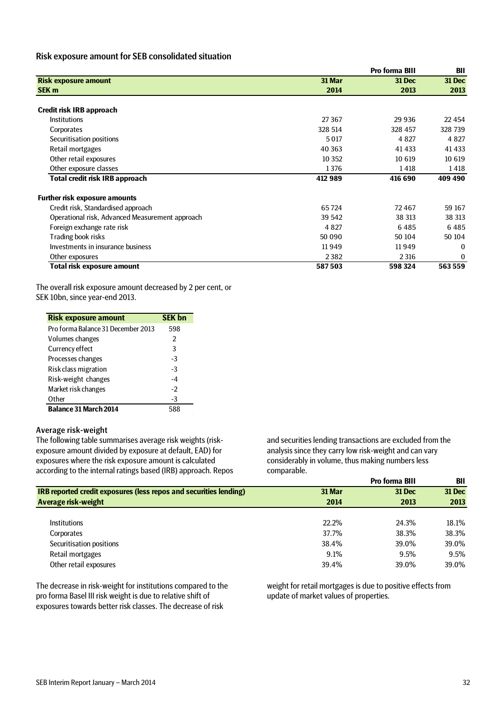### Risk exposure amount for SEB consolidated situation

|                                                 |         | <b>Pro forma BIII</b> | <b>BII</b> |  |
|-------------------------------------------------|---------|-----------------------|------------|--|
| <b>Risk exposure amount</b>                     | 31 Mar  | <b>31 Dec</b>         | 31 Dec     |  |
| SEK <sub>m</sub>                                | 2014    | 2013                  | 2013       |  |
| Credit risk IRB approach                        |         |                       |            |  |
| <b>Institutions</b>                             | 27 3 67 | 29 9 36               | 22 4 5 4   |  |
| Corporates                                      | 328 514 | 328 457               | 328 739    |  |
| Securitisation positions                        | 5017    | 4 8 2 7               | 4 8 2 7    |  |
| Retail mortgages                                | 40 363  | 41 4 33               | 41 4 33    |  |
| Other retail exposures                          | 10 3 52 | 10 619                | 10 6 19    |  |
| Other exposure classes                          | 1376    | 1418                  | 1418       |  |
| <b>Total credit risk IRB approach</b>           | 412 989 | 416 690               | 409 490    |  |
| <b>Further risk exposure amounts</b>            |         |                       |            |  |
| Credit risk, Standardised approach              | 65724   | 72467                 | 59 167     |  |
| Operational risk, Advanced Measurement approach | 39 542  | 38 313                | 38 313     |  |
| Foreign exchange rate risk                      | 4 8 2 7 | 6485                  | 6485       |  |
| Trading book risks                              | 50 090  | 50 104                | 50 104     |  |
| Investments in insurance business               | 11949   | 11949                 | 0          |  |
| Other exposures                                 | 2382    | 2 3 1 6               | 0          |  |
| <b>Total risk exposure amount</b>               | 587503  | 598 324               | 563 559    |  |

The overall risk exposure amount decreased by 2 per cent, or SEK 10bn, since year-end 2013.

| <b>Risk exposure amount</b>        | <b>SEK bn</b> |
|------------------------------------|---------------|
| Pro forma Balance 31 December 2013 | 598           |
| Volumes changes                    | $\mathcal{P}$ |
| Currency effect                    | 3             |
| Processes changes                  | $-3$          |
| Risk class migration               | $-3$          |
| Risk-weight changes                | $-4$          |
| Market risk changes                | -2            |
| Other                              | $-3$          |
| <b>Balance 31 March 2014</b>       | 588           |

### Average risk-weight

The following table summarises average risk weights (riskexposure amount divided by exposure at default, EAD) for exposures where the risk exposure amount is calculated according to the internal ratings based (IRB) approach. Repos and securities lending transactions are excluded from the analysis since they carry low risk-weight and can vary considerably in volume, thus making numbers less comparable. **Pro forma BIII BII**

|                                                                          |        | Pro forma Bill | ы      |
|--------------------------------------------------------------------------|--------|----------------|--------|
| <b>IRB reported credit exposures (less repos and securities lending)</b> | 31 Mar | <b>31 Dec</b>  | 31 Dec |
| Average risk-weight                                                      | 2014   | 2013           | 2013   |
|                                                                          |        |                |        |
| <b>Institutions</b>                                                      | 22.2%  | 24.3%          | 18.1%  |
| Corporates                                                               | 37.7%  | 38.3%          | 38.3%  |
| Securitisation positions                                                 | 38.4%  | 39.0%          | 39.0%  |
| Retail mortgages                                                         | 9.1%   | 9.5%           | 9.5%   |
| Other retail exposures                                                   | 39.4%  | 39.0%          | 39.0%  |
|                                                                          |        |                |        |

The decrease in risk-weight for institutions compared to the pro forma Basel III risk weight is due to relative shift of exposures towards better risk classes. The decrease of risk

weight for retail mortgages is due to positive effects from update of market values of properties.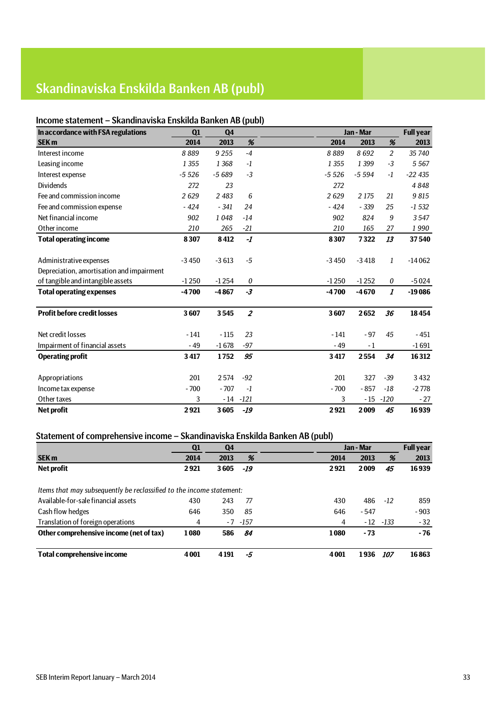# Skandinaviska Enskilda Banken AB (publ)

## Income statement – Skandinaviska Enskilda Banken AB (publ)

| In accordance with FSA regulations        | Q1      | Q <sub>4</sub> | л.               |         | Jan - Mar |                  | <b>Full year</b> |
|-------------------------------------------|---------|----------------|------------------|---------|-----------|------------------|------------------|
| <b>SEK m</b>                              | 2014    | 2013           | %                | 2014    | 2013      | %                | 2013             |
| Interest income                           | 8889    | 9 2 5 5        | $-4$             | 8889    | 8692      | 2                | 35 740           |
| Leasing income                            | 1 3 5 5 | 1 3 6 8        | $-1$             | 1 3 5 5 | 1 3 9 9   | $-3$             | 5 5 6 7          |
| Interest expense                          | $-5526$ | $-5689$        | $-3$             | $-5526$ | $-5594$   | $-1$             | $-22435$         |
| <b>Dividends</b>                          | 272     | 23             |                  | 272     |           |                  | 4848             |
| Fee and commission income                 | 2629    | 2 4 8 3        | 6                | 2629    | 2 1 7 5   | 21               | 9815             |
| Fee and commission expense                | $-424$  | $-341$         | 24               | $-424$  | $-339$    | 25               | $-1532$          |
| Net financial income                      | 902     | 1048           | $-14$            | 902     | 824       | 9                | 3547             |
| Other income                              | 210     | 265            | $-21$            | 210     | 165       | 27               | 1990             |
| <b>Total operating income</b>             | 8307    | 8412           | $-I$             | 8307    | 7322      | 13               | 37540            |
|                                           |         |                |                  |         |           |                  |                  |
| Administrative expenses                   | $-3450$ | $-3613$        | $-5$             | $-3450$ | $-3418$   | 1                | $-14062$         |
| Depreciation, amortisation and impairment |         |                |                  |         |           |                  |                  |
| of tangible and intangible assets         | $-1250$ | $-1254$        | $\boldsymbol{0}$ | $-1250$ | $-1252$   | 0                | $-5024$          |
| <b>Total operating expenses</b>           | $-4700$ | $-4867$        | $-3$             | $-4700$ | $-4670$   | $\boldsymbol{I}$ | $-19086$         |
| <b>Profit before credit losses</b>        | 3607    | 3545           | $\overline{2}$   | 3607    | 2652      | 36               | 18454            |
| Net credit losses                         | $-141$  | $-115$         | 23               | $-141$  | $-97$     | 45               | $-451$           |
| Impairment of financial assets            | $-49$   | $-1678$        | $-97$            | $-49$   | $-1$      |                  | $-1691$          |
| <b>Operating profit</b>                   | 3417    | 1752           | 95               | 3417    | 2554      | 34               | 16312            |
|                                           |         |                |                  |         |           |                  |                  |
| Appropriations                            | 201     | 2574           | $-92$            | 201     | 327       | $-39$            | 3432             |
| Income tax expense                        | $-700$  | $-707$         | $-1$             | $-700$  | $-857$    | $-18$            | $-2778$          |
| Other taxes                               | 3       | - 14           | $-121$           | 3       | $-15$     | $-120$           | $-27$            |
| <b>Net profit</b>                         | 2921    | 3605           | $-19$            | 2921    | 2009      | 45               | 16939            |

## Statement of comprehensive income – Skandinaviska Enskilda Banken AB (publ)

|                                                                      | Q1      | Q4   |             |      | Jan - Mar |            | <b>Full year</b> |
|----------------------------------------------------------------------|---------|------|-------------|------|-----------|------------|------------------|
| <b>SEK m</b>                                                         | 2014    | 2013 | %           | 2014 | 2013      | %          | 2013             |
| Net profit                                                           | 2921    | 3605 | -19         | 2921 | 2009      | 45         | 16939            |
| Items that may subsequently be reclassified to the income statement: |         |      |             |      |           |            |                  |
| Available-for-sale financial assets                                  | 430     | 243  | 77          | 430  | 486       | $-12$      | 859              |
| Cash flow hedges                                                     | 646     | 350  | 85          | 646  | $-547$    |            | $-903$           |
| Translation of foreign operations                                    | 4       |      | $-7$ $-157$ | 4    | $-12$     | -133       | $-32$            |
| Other comprehensive income (net of tax)                              | 1080    | 586  | 84          | 1080 | - 73      |            | $-76$            |
| Total comprehensive income                                           | 4 0 0 1 | 4191 | -5          | 4001 | 1936      | <i>107</i> | 16863            |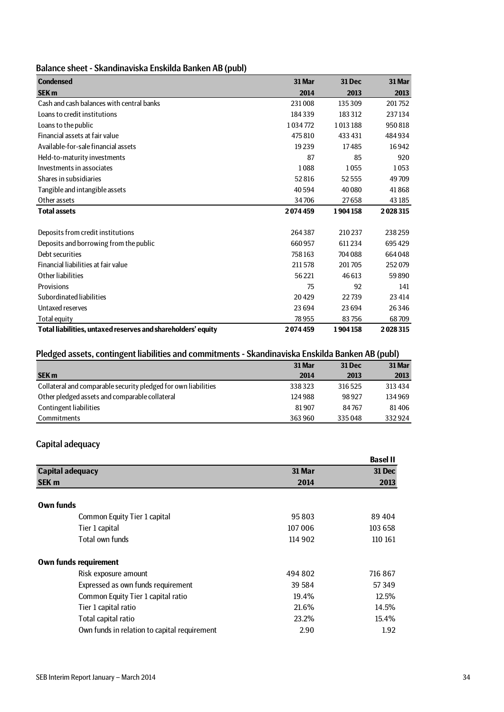| Balance sheet - Skandinaviska Enskilda Banken AB (publ) |  |  |
|---------------------------------------------------------|--|--|
|---------------------------------------------------------|--|--|

| <b>Condensed</b>                                             | 31 Mar  | <b>31 Dec</b> | 31 Mar  |
|--------------------------------------------------------------|---------|---------------|---------|
| <b>SEK m</b>                                                 | 2014    | 2013          | 2013    |
| Cash and cash balances with central banks                    | 231008  | 135309        | 201752  |
| Loans to credit institutions                                 | 184339  | 183 312       | 237134  |
| Loans to the public                                          | 1034772 | 1013188       | 950818  |
| Financial assets at fair value                               | 475810  | 433 431       | 484934  |
| Available-for-sale financial assets                          | 19239   | 17485         | 16942   |
| Held-to-maturity investments                                 | 87      | 85            | 920     |
| Investments in associates                                    | 1088    | 1055          | 1053    |
| Shares in subsidiaries                                       | 52816   | 52555         | 49709   |
| Tangible and intangible assets                               | 40594   | 40 0 80       | 41868   |
| Other assets                                                 | 34706   | 27658         | 43 185  |
| <b>Total assets</b>                                          | 2074459 | 1904158       | 2028315 |
|                                                              |         |               |         |
| Deposits from credit institutions                            | 264387  | 210237        | 238259  |
| Deposits and borrowing from the public                       | 660957  | 611234        | 695429  |
| Debt securities                                              | 758163  | 704 088       | 664048  |
| Financial liabilities at fair value                          | 211578  | 201705        | 252079  |
| Other liabilities                                            | 56221   | 46 613        | 59890   |
| Provisions                                                   | 75      | 92            | 141     |
| Subordinated liabilities                                     | 20429   | 22739         | 23 4 14 |
| Untaxed reserves                                             | 23694   | 23694         | 26346   |
| <b>Total equity</b>                                          | 78955   | 83756         | 68709   |
| Total liabilities, untaxed reserves and shareholders' equity | 2074459 | 1904158       | 2028315 |

## Pledged assets, contingent liabilities and commitments - Skandinaviska Enskilda Banken AB (publ)

| 31 Mar  | <b>31 Dec</b> | 31 Mar |
|---------|---------------|--------|
| 2014    | 2013          | 2013   |
| 338323  | 316525        | 313434 |
| 124 988 | 98927         | 134969 |
| 81907   | 84767         | 81406  |
| 363960  | 335048        | 332924 |
|         |               |        |

## Capital adequacy

|                                              |         | <b>Basel II</b> |
|----------------------------------------------|---------|-----------------|
| <b>Capital adequacy</b>                      | 31 Mar  | 31 Dec          |
| <b>SEK m</b>                                 | 2014    | 2013            |
| Own funds                                    |         |                 |
| <b>Common Equity Tier 1 capital</b>          | 95803   | 89 404          |
| Tier 1 capital                               | 107 006 | 103 658         |
| Total own funds                              | 114 902 | 110 161         |
| Own funds requirement                        |         |                 |
| Risk exposure amount                         | 494 802 | 716867          |
| Expressed as own funds requirement           | 39 584  | 57 349          |
| Common Equity Tier 1 capital ratio           | 19.4%   | 12.5%           |
| Tier 1 capital ratio                         | 21.6%   | 14.5%           |
| Total capital ratio                          | 23.2%   | 15.4%           |
| Own funds in relation to capital requirement | 2.90    | 1.92            |